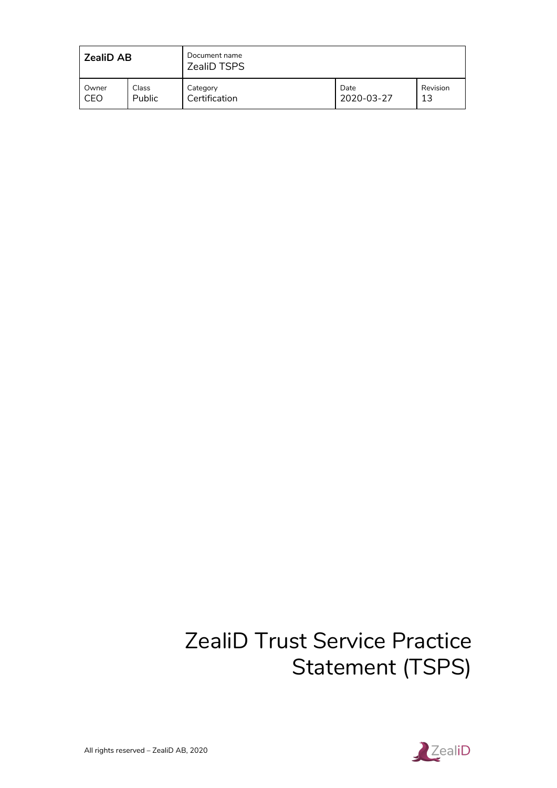| l ZealiD AB |               | Document name<br><b>ZealiD TSPS</b> |            |          |
|-------------|---------------|-------------------------------------|------------|----------|
| Owner       | Class         | Category                            | Date       | Revision |
| CEO         | <b>Public</b> | Certification                       | 2020-03-27 | 13       |

# ZealiD Trust Service Practice Statement (TSPS)

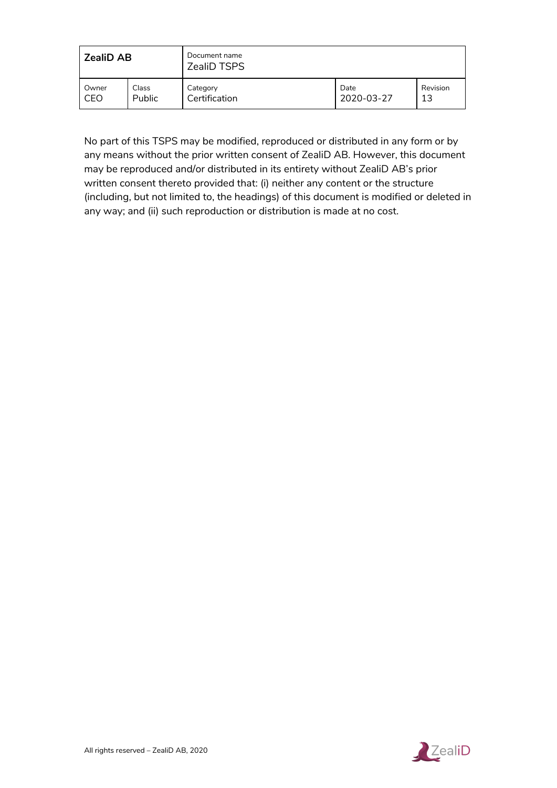| <b>ZealiD AB</b> |        | Document name<br><b>ZealiD TSPS</b> |            |          |
|------------------|--------|-------------------------------------|------------|----------|
| Owner            | Class  | Category                            | Date       | Revision |
| CEO              | Public | Certification                       | 2020-03-27 | 13       |

No part of this TSPS may be modified, reproduced or distributed in any form or by any means without the prior written consent of ZealiD AB. However, this document may be reproduced and/or distributed in its entirety without ZealiD AB's prior written consent thereto provided that: (i) neither any content or the structure (including, but not limited to, the headings) of this document is modified or deleted in any way; and (ii) such reproduction or distribution is made at no cost.

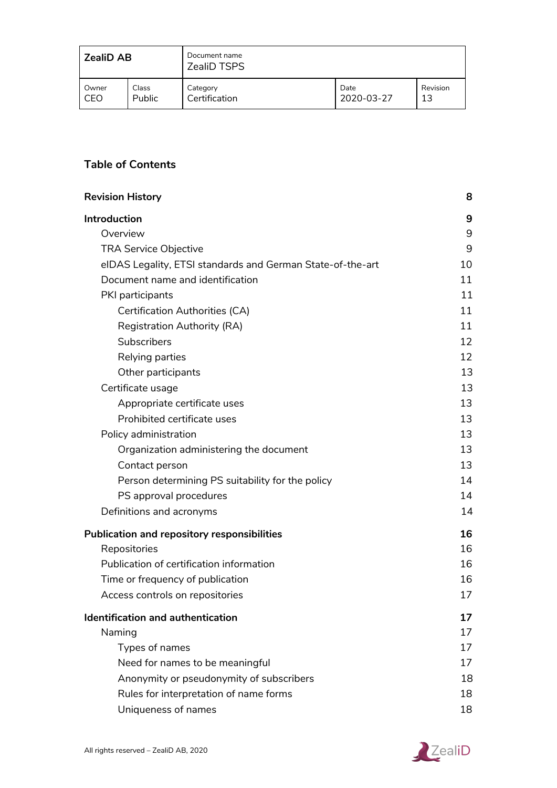| <b>ZealiD AB</b> |               | Document name<br><b>ZealiD TSPS</b> |            |          |
|------------------|---------------|-------------------------------------|------------|----------|
| Owner            | Class         | Category                            | Date       | Revision |
| CEO              | <b>Public</b> | Certification                       | 2020-03-27 | 13       |

## **Table of Contents**

| <b>Revision History</b>                                    | 8  |
|------------------------------------------------------------|----|
| Introduction                                               | 9  |
| Overview                                                   | 9  |
| <b>TRA Service Objective</b>                               | 9  |
| eIDAS Legality, ETSI standards and German State-of-the-art | 10 |
| Document name and identification                           | 11 |
| PKI participants                                           | 11 |
| <b>Certification Authorities (CA)</b>                      | 11 |
| <b>Registration Authority (RA)</b>                         | 11 |
| <b>Subscribers</b>                                         | 12 |
| Relying parties                                            | 12 |
| Other participants                                         | 13 |
| Certificate usage                                          | 13 |
| Appropriate certificate uses                               | 13 |
| Prohibited certificate uses                                | 13 |
| Policy administration                                      | 13 |
| Organization administering the document                    | 13 |
| Contact person                                             | 13 |
| Person determining PS suitability for the policy           | 14 |
| PS approval procedures                                     | 14 |
| Definitions and acronyms                                   | 14 |
| <b>Publication and repository responsibilities</b>         | 16 |
| Repositories                                               | 16 |
| Publication of certification information                   | 16 |
| Time or frequency of publication                           | 16 |
| Access controls on repositories                            | 17 |
| <b>Identification and authentication</b>                   | 17 |
| Naming                                                     | 17 |
| Types of names                                             | 17 |
| Need for names to be meaningful                            | 17 |
| Anonymity or pseudonymity of subscribers                   | 18 |
| Rules for interpretation of name forms                     | 18 |
| Uniqueness of names                                        | 18 |

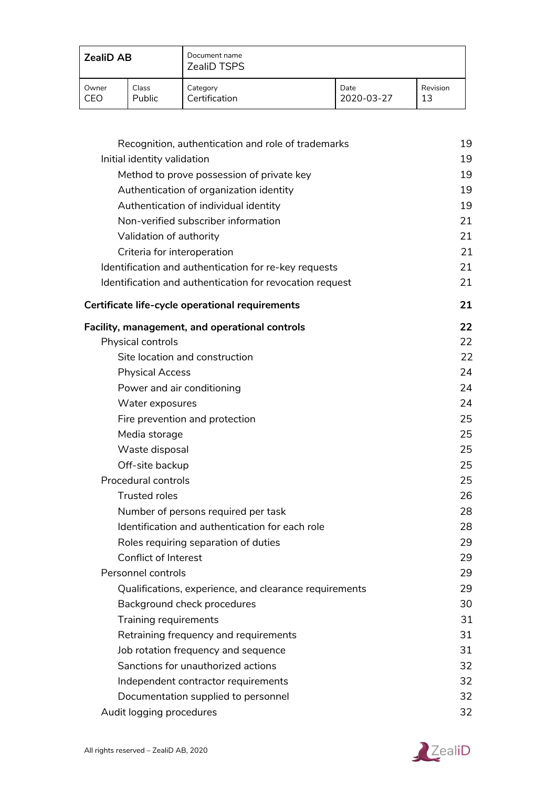| <b>ZealiD AB</b> |               | Document name<br><b>ZealiD TSPS</b> |            |          |
|------------------|---------------|-------------------------------------|------------|----------|
| Owner            | Class         | Category                            | Date       | Revision |
| CEO              | <b>Public</b> | Certification                       | 2020-03-27 | 13       |

| Recognition, authentication and role of trademarks       | 19 |
|----------------------------------------------------------|----|
| Initial identity validation                              | 19 |
| Method to prove possession of private key                | 19 |
| Authentication of organization identity                  | 19 |
| Authentication of individual identity                    | 19 |
| Non-verified subscriber information                      | 21 |
| Validation of authority                                  | 21 |
| Criteria for interoperation                              | 21 |
| Identification and authentication for re-key requests    | 21 |
| Identification and authentication for revocation request | 21 |
| Certificate life-cycle operational requirements          | 21 |
| <b>Facility, management, and operational controls</b>    | 22 |
| Physical controls                                        | 22 |
| Site location and construction                           | 22 |
| <b>Physical Access</b>                                   | 24 |
| Power and air conditioning                               | 24 |
| Water exposures                                          | 24 |
| Fire prevention and protection                           | 25 |
| Media storage                                            | 25 |
| Waste disposal                                           | 25 |
| Off-site backup                                          | 25 |
| Procedural controls                                      | 25 |
| <b>Trusted roles</b>                                     | 26 |
| Number of persons required per task                      | 28 |
| Identification and authentication for each role          | 28 |
| Roles requiring separation of duties                     | 29 |
| Conflict of Interest                                     | 29 |
| Personnel controls                                       | 29 |
| Qualifications, experience, and clearance requirements   | 29 |
| Background check procedures                              | 30 |
| Training requirements                                    | 31 |
| Retraining frequency and requirements                    | 31 |
| Job rotation frequency and sequence                      | 31 |
| Sanctions for unauthorized actions                       | 32 |
| Independent contractor requirements                      | 32 |
| Documentation supplied to personnel                      | 32 |
| Audit logging procedures                                 | 32 |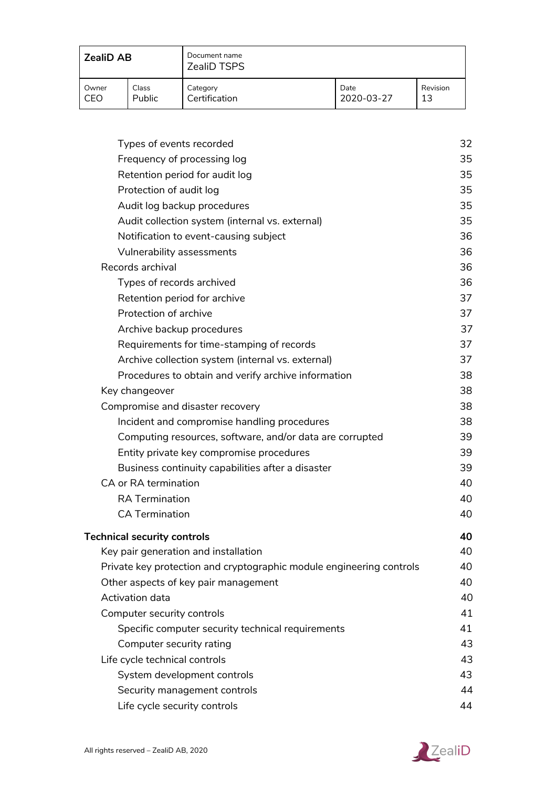| <b>ZealiD AB</b> |               | Document name<br><b>ZealiD TSPS</b> |            |          |
|------------------|---------------|-------------------------------------|------------|----------|
| Owner            | Class         | Category                            | Date       | Revision |
| CEO              | <b>Public</b> | Certification                       | 2020-03-27 | 13       |

| Types of events recorded                                             | 32 |
|----------------------------------------------------------------------|----|
| Frequency of processing log                                          | 35 |
| Retention period for audit log                                       | 35 |
| Protection of audit log                                              | 35 |
| Audit log backup procedures                                          | 35 |
| Audit collection system (internal vs. external)                      | 35 |
| Notification to event-causing subject                                | 36 |
| Vulnerability assessments                                            | 36 |
| Records archival                                                     | 36 |
| Types of records archived                                            | 36 |
| Retention period for archive                                         | 37 |
| Protection of archive                                                | 37 |
| Archive backup procedures                                            | 37 |
| Requirements for time-stamping of records                            | 37 |
| Archive collection system (internal vs. external)                    | 37 |
| Procedures to obtain and verify archive information                  | 38 |
| Key changeover                                                       | 38 |
| Compromise and disaster recovery                                     | 38 |
| Incident and compromise handling procedures                          | 38 |
| Computing resources, software, and/or data are corrupted             | 39 |
| Entity private key compromise procedures                             | 39 |
| Business continuity capabilities after a disaster                    | 39 |
| CA or RA termination                                                 | 40 |
| <b>RA Termination</b>                                                | 40 |
| <b>CA Termination</b>                                                | 40 |
| <b>Technical security controls</b>                                   | 40 |
| Key pair generation and installation                                 | 40 |
| Private key protection and cryptographic module engineering controls | 40 |
| Other aspects of key pair management                                 | 40 |
| Activation data                                                      | 40 |
| Computer security controls                                           | 41 |
| Specific computer security technical requirements                    | 41 |
| Computer security rating                                             | 43 |
| Life cycle technical controls                                        | 43 |
| System development controls                                          | 43 |
| Security management controls                                         | 44 |
| Life cycle security controls                                         | 44 |
|                                                                      |    |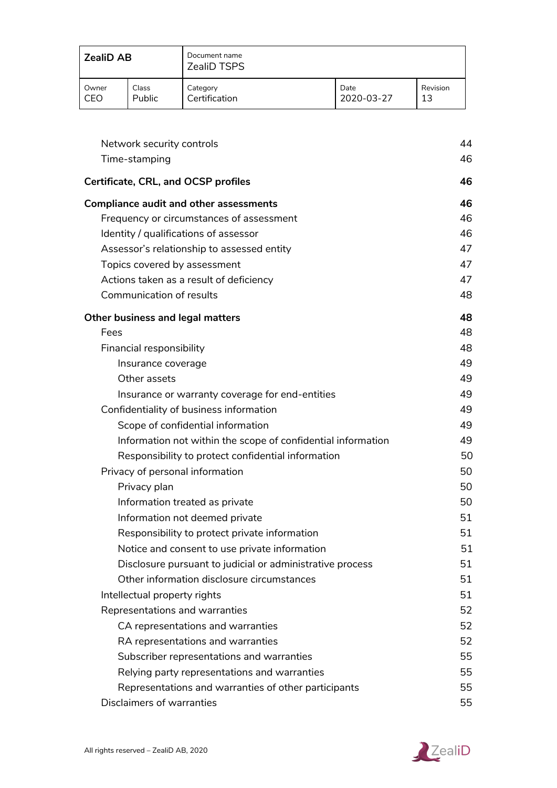| <b>ZealiD AB</b> |               | Document name<br><b>ZealiD TSPS</b> |            |          |
|------------------|---------------|-------------------------------------|------------|----------|
| Owner            | Class         | Category                            | Date       | Revision |
| CEO              | <b>Public</b> | Certification                       | 2020-03-27 | 13       |

| Network security controls                                    | 44 |
|--------------------------------------------------------------|----|
| Time-stamping                                                | 46 |
| <b>Certificate, CRL, and OCSP profiles</b>                   | 46 |
| <b>Compliance audit and other assessments</b>                | 46 |
| Frequency or circumstances of assessment                     | 46 |
| Identity / qualifications of assessor                        | 46 |
| Assessor's relationship to assessed entity                   | 47 |
| Topics covered by assessment                                 | 47 |
| Actions taken as a result of deficiency                      | 47 |
| <b>Communication of results</b>                              | 48 |
| <b>Other business and legal matters</b>                      | 48 |
| Fees                                                         | 48 |
| Financial responsibility                                     | 48 |
| Insurance coverage                                           | 49 |
| Other assets                                                 | 49 |
| Insurance or warranty coverage for end-entities              | 49 |
| Confidentiality of business information                      | 49 |
| Scope of confidential information                            | 49 |
| Information not within the scope of confidential information | 49 |
| Responsibility to protect confidential information           | 50 |
| Privacy of personal information                              | 50 |
| Privacy plan                                                 | 50 |
| Information treated as private                               | 50 |
| Information not deemed private                               | 51 |
| Responsibility to protect private information                | 51 |
| Notice and consent to use private information                | 51 |
| Disclosure pursuant to judicial or administrative process    | 51 |
| Other information disclosure circumstances                   | 51 |
| Intellectual property rights                                 | 51 |
| Representations and warranties                               | 52 |
| CA representations and warranties                            | 52 |
| RA representations and warranties                            | 52 |
| Subscriber representations and warranties                    | 55 |
| Relying party representations and warranties                 | 55 |
| Representations and warranties of other participants         | 55 |
| Disclaimers of warranties                                    | 55 |

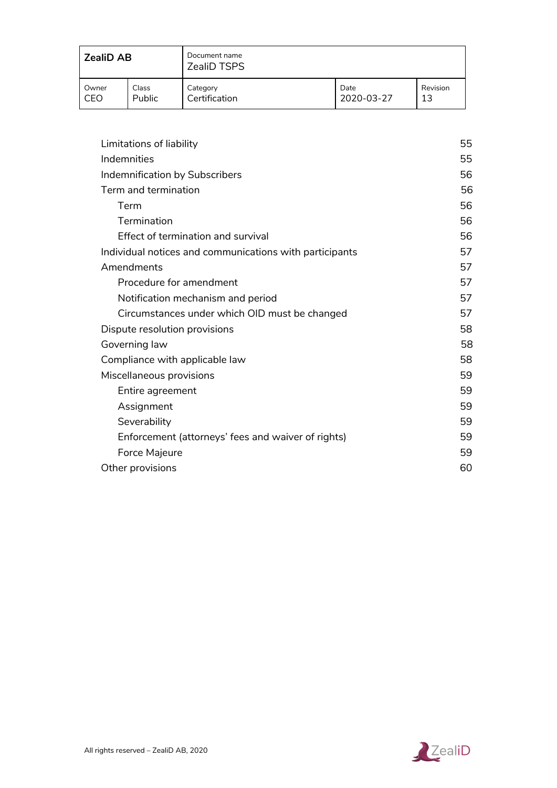| <b>ZealiD AB</b> |               | Document name<br><b>ZealiD TSPS</b> |            |          |
|------------------|---------------|-------------------------------------|------------|----------|
| Owner            | Class         | Category                            | Date       | Revision |
| CEO              | <b>Public</b> | Certification                       | 2020-03-27 | 13       |

| Limitations of liability                                | 55 |
|---------------------------------------------------------|----|
| Indemnities                                             | 55 |
| Indemnification by Subscribers                          | 56 |
| Term and termination                                    | 56 |
| Term                                                    | 56 |
| <b>Termination</b>                                      | 56 |
| Effect of termination and survival                      | 56 |
| Individual notices and communications with participants | 57 |
| Amendments                                              | 57 |
| Procedure for amendment                                 | 57 |
| Notification mechanism and period                       | 57 |
| Circumstances under which OID must be changed           | 57 |
| Dispute resolution provisions                           | 58 |
| Governing law                                           | 58 |
| Compliance with applicable law                          | 58 |
| Miscellaneous provisions                                | 59 |
| Entire agreement                                        | 59 |
| Assignment                                              | 59 |
| Severability                                            | 59 |
| Enforcement (attorneys' fees and waiver of rights)      | 59 |
| Force Majeure                                           | 59 |
| Other provisions                                        | 60 |

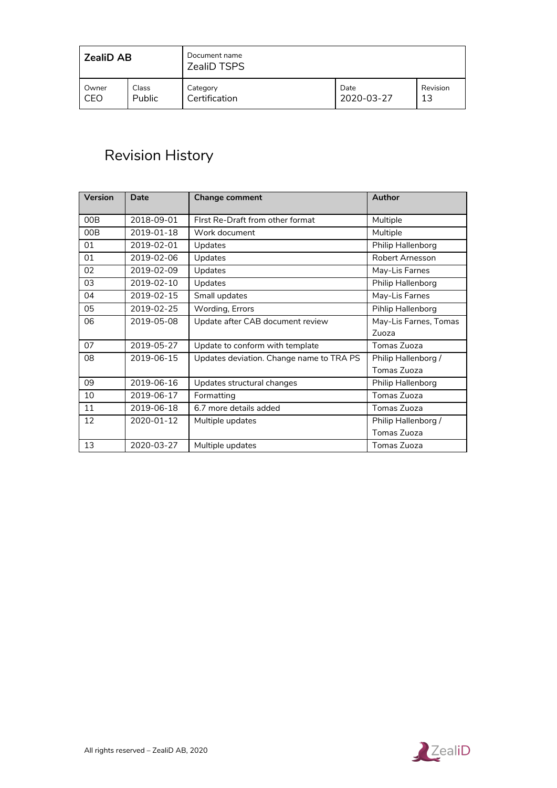| <b>ZealiD AB</b> |               | Document name<br><b>ZealiD TSPS</b> |            |          |
|------------------|---------------|-------------------------------------|------------|----------|
| Owner            | Class         | Category                            | Date       | Revision |
| CEO              | <b>Public</b> | Certification                       | 2020-03-27 | 13       |

## <span id="page-7-0"></span>Revision History

| Version | Date       | <b>Change comment</b>                    | Author                 |
|---------|------------|------------------------------------------|------------------------|
| 00B     | 2018-09-01 | First Re-Draft from other format         | Multiple               |
| 00B     | 2019-01-18 | Work document                            | Multiple               |
| 01      | 2019-02-01 | Updates                                  | Philip Hallenborg      |
| 01      | 2019-02-06 | Updates                                  | <b>Robert Arnesson</b> |
| 02      | 2019-02-09 | <b>Updates</b>                           | May-Lis Farnes         |
| 03      | 2019-02-10 | Updates                                  | Philip Hallenborg      |
| 04      | 2019-02-15 | Small updates                            | May-Lis Farnes         |
| 05      | 2019-02-25 | Wording, Errors                          | Pihlip Hallenborg      |
| 06      | 2019-05-08 | Update after CAB document review         | May-Lis Farnes, Tomas  |
|         |            |                                          | Zuoza                  |
| 07      | 2019-05-27 | Update to conform with template          | Tomas Zuoza            |
| 08      | 2019-06-15 | Updates deviation. Change name to TRA PS | Philip Hallenborg /    |
|         |            |                                          | Tomas Zuoza            |
| 09      | 2019-06-16 | Updates structural changes               | Philip Hallenborg      |
| 10      | 2019-06-17 | Formatting                               | Tomas Zuoza            |
| 11      | 2019-06-18 | 6.7 more details added                   | Tomas Zuoza            |
| 12      | 2020-01-12 | Multiple updates                         | Philip Hallenborg /    |
|         |            |                                          | Tomas Zuoza            |
| 13      | 2020-03-27 | Multiple updates                         | Tomas Zuoza            |

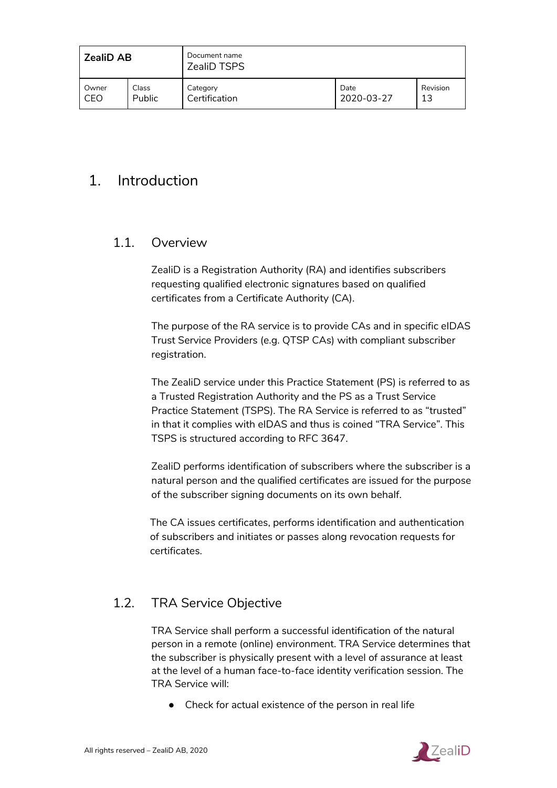| <b>ZealiD AB</b> |               | Document name<br><b>ZealiD TSPS</b> |            |          |
|------------------|---------------|-------------------------------------|------------|----------|
| Owner            | Class         | Category                            | Date       | Revision |
| CEO              | <b>Public</b> | Certification                       | 2020-03-27 | 13       |

## <span id="page-8-0"></span>1. Introduction

## <span id="page-8-1"></span>1.1. Overview

ZealiD is a Registration Authority (RA) and identifies subscribers requesting qualified electronic signatures based on qualified certificates from a Certificate Authority (CA).

The purpose of the RA service is to provide CAs and in specific eIDAS Trust Service Providers (e.g. QTSP CAs) with compliant subscriber registration.

The ZealiD service under this Practice Statement (PS) is referred to as a Trusted Registration Authority and the PS as a Trust Service Practice Statement (TSPS). The RA Service is referred to as "trusted" in that it complies with eIDAS and thus is coined "TRA Service". This TSPS is structured according to RFC 3647.

ZealiD performs identification of subscribers where the subscriber is a natural person and the qualified certificates are issued for the purpose of the subscriber signing documents on its own behalf.

The CA issues certificates, performs identification and authentication of subscribers and initiates or passes along revocation requests for certificates.

## <span id="page-8-2"></span>1.2. TRA Service Objective

TRA Service shall perform a successful identification of the natural person in a remote (online) environment. TRA Service determines that the subscriber is physically present with a level of assurance at least at the level of a human face-to-face identity verification session. The TRA Service will:

● Check for actual existence of the person in real life

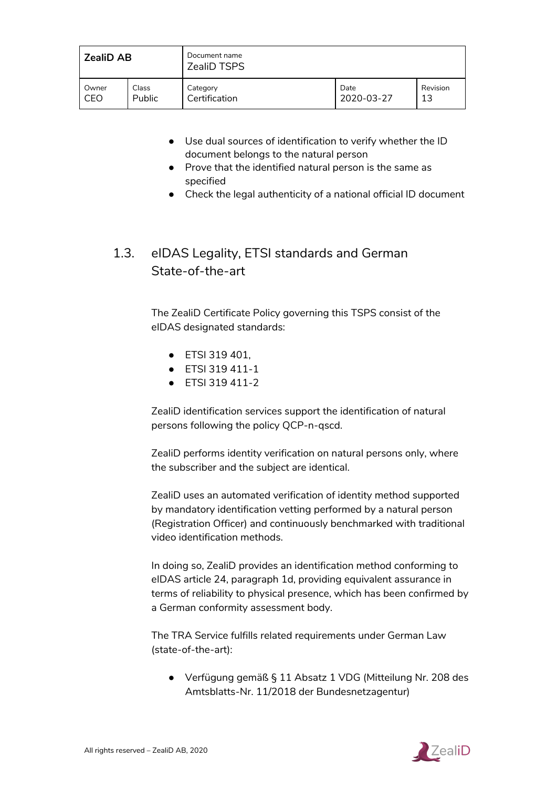| <b>ZealiD AB</b> |        | Document name<br>ZealiD TSPS |            |          |
|------------------|--------|------------------------------|------------|----------|
| Owner            | Class  | Category                     | Date       | Revision |
| CEO              | Public | Certification                | 2020-03-27 | 13       |

- Use dual sources of identification to verify whether the ID document belongs to the natural person
- Prove that the identified natural person is the same as specified
- Check the legal authenticity of a national official ID document

## <span id="page-9-0"></span>1.3. eIDAS Legality, ETSI standards and German State-of-the-art

The ZealiD Certificate Policy governing this TSPS consist of the eIDAS designated standards:

- ETSI 319 401,
- ETSI 319 411-1
- ETSI 319 411-2

ZealiD identification services support the identification of natural persons following the policy QCP-n-qscd.

ZealiD performs identity verification on natural persons only, where the subscriber and the subject are identical.

ZealiD uses an automated verification of identity method supported by mandatory identification vetting performed by a natural person (Registration Officer) and continuously benchmarked with traditional video identification methods.

In doing so, ZealiD provides an identification method conforming to eIDAS article 24, paragraph 1d, providing equivalent assurance in terms of reliability to physical presence, which has been confirmed by a German conformity assessment body.

The TRA Service fulfills related requirements under German Law (state-of-the-art):

● Verfügung gemäß § 11 Absatz 1 VDG (Mitteilung Nr. 208 des Amtsblatts-Nr. 11/2018 der Bundesnetzagentur)

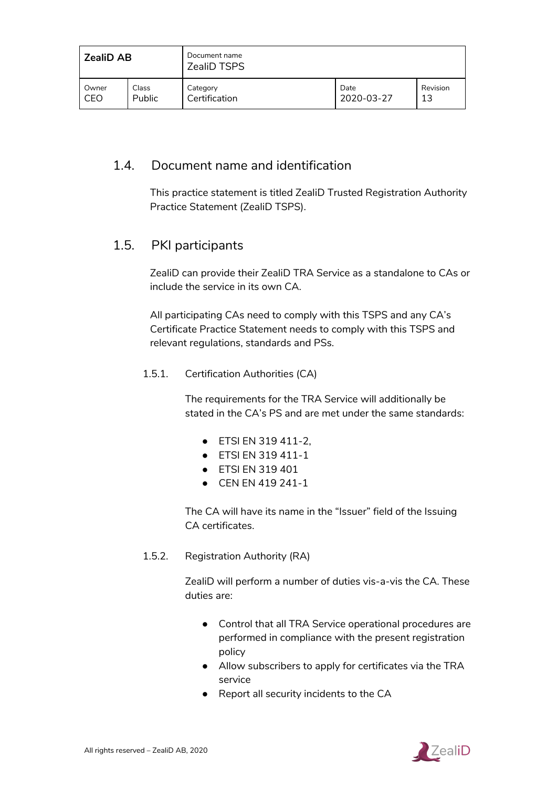| <b>ZealiD AB</b> |               | Document name<br><b>ZealiD TSPS</b> |            |          |
|------------------|---------------|-------------------------------------|------------|----------|
| Owner            | Class         | Category                            | Date       | Revision |
| CEO              | <b>Public</b> | Certification                       | 2020-03-27 | 13       |

## <span id="page-10-0"></span>1.4. Document name and identification

This practice statement is titled ZealiD Trusted Registration Authority Practice Statement (ZealiD TSPS).

## <span id="page-10-1"></span>1.5. PKI participants

ZealiD can provide their ZealiD TRA Service as a standalone to CAs or include the service in its own CA.

All participating CAs need to comply with this TSPS and any CA's Certificate Practice Statement needs to comply with this TSPS and relevant regulations, standards and PSs.

#### <span id="page-10-2"></span>1.5.1. Certification Authorities (CA)

The requirements for the TRA Service will additionally be stated in the CA's PS and are met under the same standards:

- ETSI EN 319 411-2,
- ETSI EN 319 411-1
- ETSI EN 319 401
- CEN EN 419 241-1

The CA will have its name in the "Issuer" field of the Issuing CA certificates.

<span id="page-10-3"></span>1.5.2. Registration Authority (RA)

ZealiD will perform a number of duties vis-a-vis the CA. These duties are:

- Control that all TRA Service operational procedures are performed in compliance with the present registration policy
- Allow subscribers to apply for certificates via the TRA service
- Report all security incidents to the CA

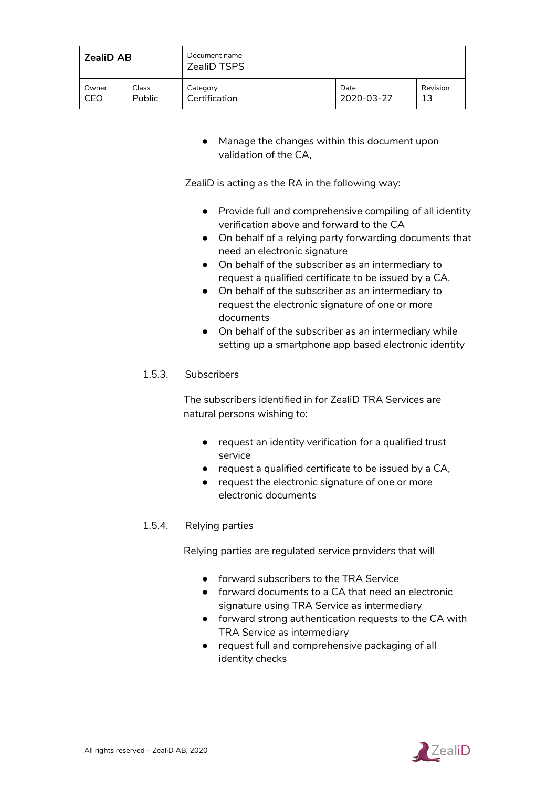| <b>ZealiD AB</b> |        | Document name<br><b>ZealiD TSPS</b> |            |          |
|------------------|--------|-------------------------------------|------------|----------|
| . Owner          | Class  | Category                            | Date       | Revision |
| CEO              | Public | Certification                       | 2020-03-27 | 13       |

● Manage the changes within this document upon validation of the CA,

ZealiD is acting as the RA in the following way:

- Provide full and comprehensive compiling of all identity verification above and forward to the CA
- On behalf of a relying party forwarding documents that need an electronic signature
- On behalf of the subscriber as an intermediary to request a qualified certificate to be issued by a CA,
- On behalf of the subscriber as an intermediary to request the electronic signature of one or more documents
- On behalf of the subscriber as an intermediary while setting up a smartphone app based electronic identity

#### <span id="page-11-0"></span>1.5.3. Subscribers

The subscribers identified in for ZealiD TRA Services are natural persons wishing to:

- request an identity verification for a qualified trust service
- request a qualified certificate to be issued by a CA,
- request the electronic signature of one or more electronic documents

#### <span id="page-11-1"></span>1.5.4. Relying parties

Relying parties are regulated service providers that will

- forward subscribers to the TRA Service
- forward documents to a CA that need an electronic signature using TRA Service as intermediary
- forward strong authentication requests to the CA with TRA Service as intermediary
- request full and comprehensive packaging of all identity checks

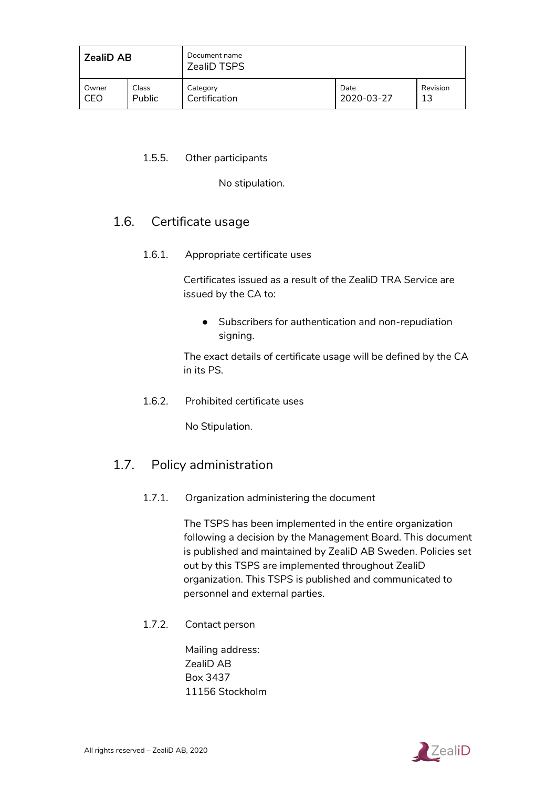| <b>ZealiD AB</b> |               | Document name<br><b>ZealiD TSPS</b> |            |          |
|------------------|---------------|-------------------------------------|------------|----------|
| Owner            | Class         | Category                            | Date       | Revision |
| CEO              | <b>Public</b> | Certification                       | 2020-03-27 | 13       |

#### <span id="page-12-0"></span>1.5.5. Other participants

No stipulation.

## <span id="page-12-2"></span><span id="page-12-1"></span>1.6. Certificate usage

1.6.1. Appropriate certificate uses

Certificates issued as a result of the ZealiD TRA Service are issued by the CA to:

● Subscribers for authentication and non-repudiation signing.

The exact details of certificate usage will be defined by the CA in its PS.

<span id="page-12-3"></span>1.6.2. Prohibited certificate uses

No Stipulation.

## <span id="page-12-4"></span>1.7. Policy administration

1.7.1. Organization administering the document

The TSPS has been implemented in the entire organization following a decision by the Management Board. This document is published and maintained by ZealiD AB Sweden. Policies set out by this TSPS are implemented throughout ZealiD organization. This TSPS is published and communicated to personnel and external parties.

<span id="page-12-5"></span>1.7.2. Contact person

Mailing address: ZealiD AB Box 3437 11156 Stockholm

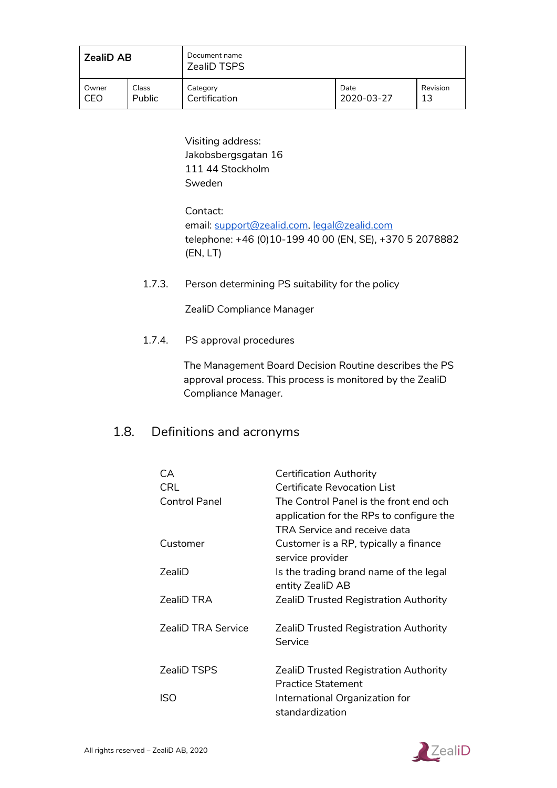| <b>ZealiD AB</b> |               | Document name<br><b>ZealiD TSPS</b> |            |          |
|------------------|---------------|-------------------------------------|------------|----------|
| Owner            | Class         | Category                            | Date       | Revision |
| CEO              | <b>Public</b> | Certification                       | 2020-03-27 | 13       |

Visiting address: Jakobsbergsgatan 16 111 44 Stockholm Sweden

Contact: email: [support@zealid.com,](mailto:support@zealid.com) [legal@zealid.com](mailto:legal@zealid.com) telephone: +46 (0)10-199 40 00 (EN, SE), +370 5 2078882 (EN, LT)

<span id="page-13-0"></span>1.7.3. Person determining PS suitability for the policy

ZealiD Compliance Manager

<span id="page-13-1"></span>1.7.4. PS approval procedures

The Management Board Decision Routine describes the PS approval process. This process is monitored by the ZealiD Compliance Manager.

## <span id="page-13-2"></span>1.8. Definitions and acronyms

| CA<br>CRL<br>Control Panel | <b>Certification Authority</b><br><b>Certificate Revocation List</b><br>The Control Panel is the front end och<br>application for the RPs to configure the<br>TRA Service and receive data |
|----------------------------|--------------------------------------------------------------------------------------------------------------------------------------------------------------------------------------------|
| Customer                   | Customer is a RP, typically a finance<br>service provider                                                                                                                                  |
| 7ealiD                     | Is the trading brand name of the legal<br>entity ZealiD AB                                                                                                                                 |
| <b>ZealiD TRA</b>          | <b>ZealiD Trusted Registration Authority</b>                                                                                                                                               |
| <b>ZealiD TRA Service</b>  | <b>ZealiD Trusted Registration Authority</b><br>Service                                                                                                                                    |
| <b>ZealiD TSPS</b>         | <b>ZealiD Trusted Registration Authority</b><br><b>Practice Statement</b>                                                                                                                  |
| ISO                        | International Organization for<br>standardization                                                                                                                                          |

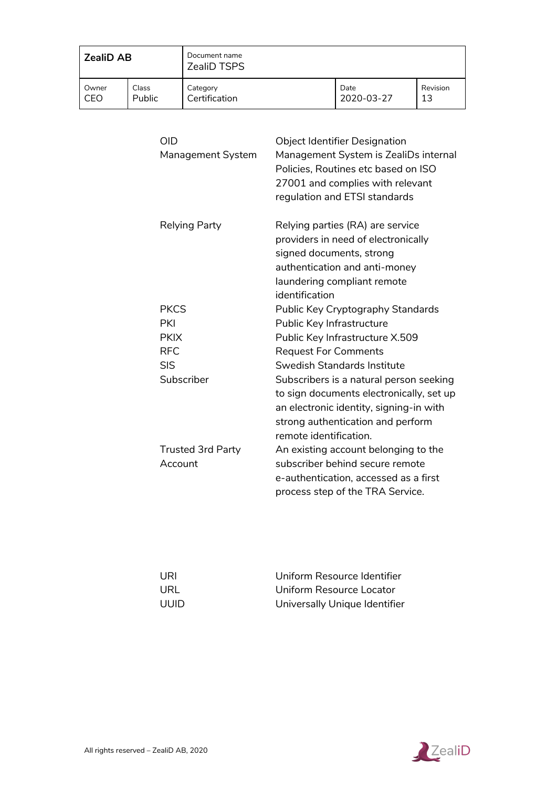| <b>ZealiD AB</b> |               | Document name<br><b>ZealiD TSPS</b> |            |          |
|------------------|---------------|-------------------------------------|------------|----------|
| Owner            | Class         | Category                            | Date       | Revision |
| CEO              | <b>Public</b> | Certification                       | 2020-03-27 | 13       |

| OID<br><b>Management System</b>     | <b>Object Identifier Designation</b><br>Management System is ZealiDs internal<br>Policies, Routines etc based on ISO<br>27001 and complies with relevant<br>regulation and ETSI standards     |
|-------------------------------------|-----------------------------------------------------------------------------------------------------------------------------------------------------------------------------------------------|
| Relying Party                       | Relying parties (RA) are service<br>providers in need of electronically<br>signed documents, strong<br>authentication and anti-money<br>laundering compliant remote<br>identification         |
| <b>PKCS</b>                         | Public Key Cryptography Standards                                                                                                                                                             |
| PKI                                 | Public Key Infrastructure                                                                                                                                                                     |
| <b>PKIX</b>                         | Public Key Infrastructure X.509                                                                                                                                                               |
| <b>RFC</b>                          | <b>Request For Comments</b>                                                                                                                                                                   |
| <b>SIS</b>                          | Swedish Standards Institute                                                                                                                                                                   |
| Subscriber                          | Subscribers is a natural person seeking<br>to sign documents electronically, set up<br>an electronic identity, signing-in with<br>strong authentication and perform<br>remote identification. |
| <b>Trusted 3rd Party</b><br>Account | An existing account belonging to the<br>subscriber behind secure remote<br>e-authentication, accessed as a first<br>process step of the TRA Service.                                          |

| URI   | Uniform Resource Identifier   |
|-------|-------------------------------|
| URL   | Uniform Resource Locator      |
| UUID. | Universally Unique Identifier |

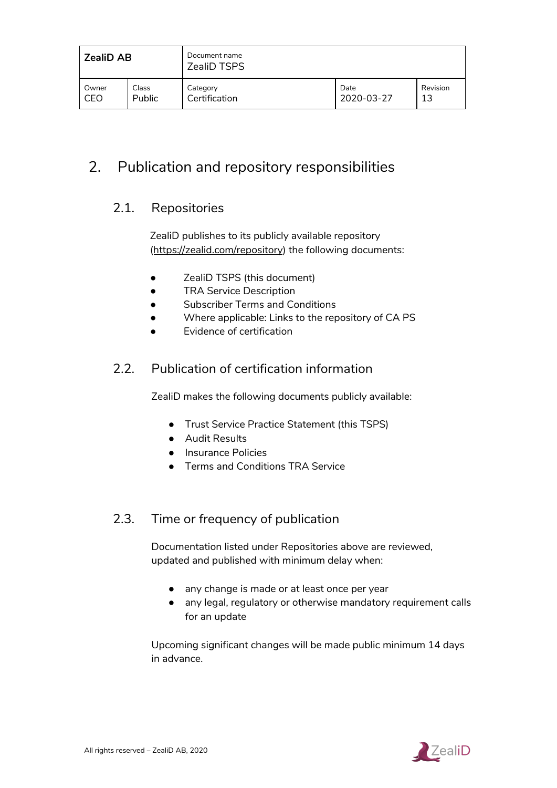| <b>ZealiD AB</b> |               | Document name<br><b>ZealiD TSPS</b> |            |          |
|------------------|---------------|-------------------------------------|------------|----------|
| Owner            | Class         | Category                            | Date       | Revision |
| CEO              | <b>Public</b> | Certification                       | 2020-03-27 | 13       |

## <span id="page-15-1"></span><span id="page-15-0"></span>2. Publication and repository responsibilities

## 2.1. Repositories

ZealiD publishes to its publicly available repository [\(https://zealid.com/repository\)](https://zealid.com/repository) the following documents:

- ZealiD TSPS (this document)
- **•** TRA Service Description
- Subscriber Terms and Conditions
- Where applicable: Links to the repository of CA PS
- **Evidence of certification**

## <span id="page-15-2"></span>2.2. Publication of certification information

ZealiD makes the following documents publicly available:

- Trust Service Practice Statement (this TSPS)
- Audit Results
- Insurance Policies
- Terms and Conditions TRA Service

## <span id="page-15-3"></span>2.3. Time or frequency of publication

Documentation listed under Repositories above are reviewed, updated and published with minimum delay when:

- any change is made or at least once per year
- any legal, regulatory or otherwise mandatory requirement calls for an update

Upcoming significant changes will be made public minimum 14 days in advance.

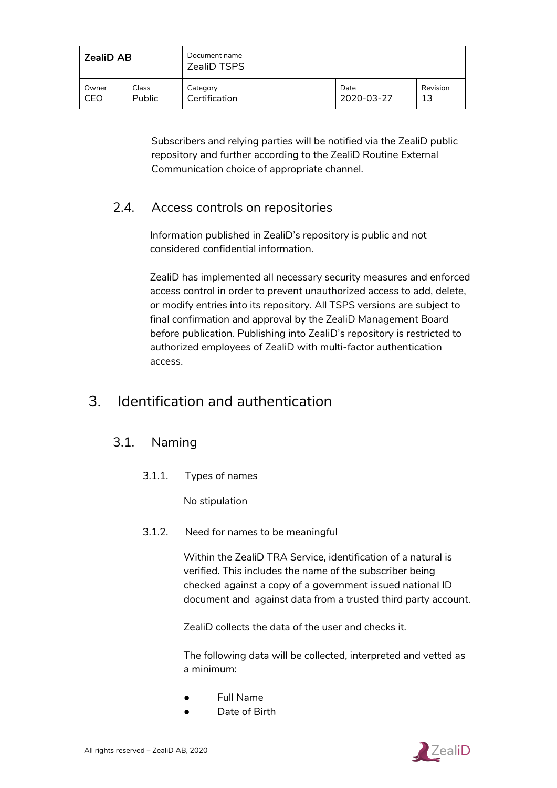| <b>ZealiD AB</b> |               | Document name<br><b>ZealiD TSPS</b> |            |          |
|------------------|---------------|-------------------------------------|------------|----------|
| Owner            | Class         | Category                            | Date       | Revision |
| CEO              | <b>Public</b> | Certification                       | 2020-03-27 | 13       |

Subscribers and relying parties will be notified via the ZealiD public repository and further according to the ZealiD Routine External Communication choice of appropriate channel.

## <span id="page-16-0"></span>2.4. Access controls on repositories

Information published in ZealiD's repository is public and not considered confidential information.

ZealiD has implemented all necessary security measures and enforced access control in order to prevent unauthorized access to add, delete, or modify entries into its repository. All TSPS versions are subject to final confirmation and approval by the ZealiD Management Board before publication. Publishing into ZealiD's repository is restricted to authorized employees of ZealiD with multi-factor authentication access.

## 3. Identification and authentication

## <span id="page-16-1"></span>3.1. Naming

3.1.1. Types of names

No stipulation

<span id="page-16-2"></span>3.1.2. Need for names to be meaningful

Within the ZealiD TRA Service, identification of a natural is verified. This includes the name of the subscriber being checked against a copy of a government issued national ID document and against data from a trusted third party account.

ZealiD collects the data of the user and checks it.

The following data will be collected, interpreted and vetted as a minimum:

- **Full Name**
- Date of Birth

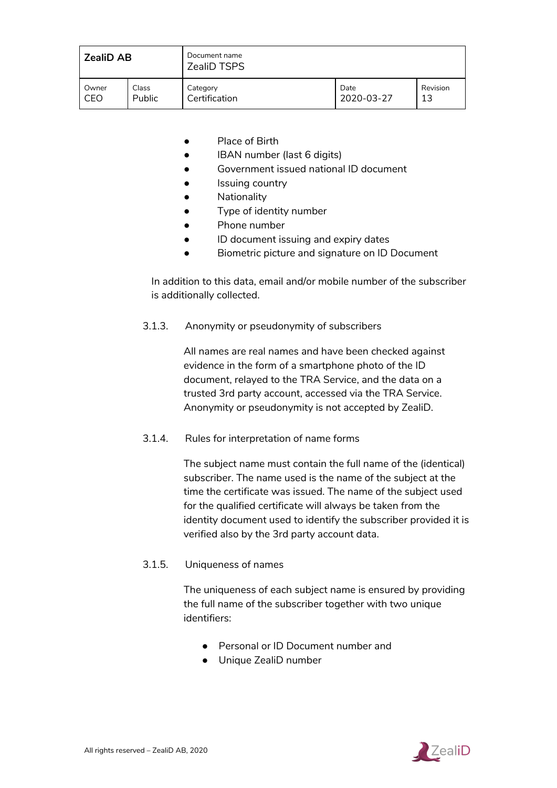| <b>ZealiD AB</b> |               | Document name<br><b>ZealiD TSPS</b> |            |          |
|------------------|---------------|-------------------------------------|------------|----------|
| Owner            | Class         | Category                            | Date       | Revision |
| CEO              | <b>Public</b> | Certification                       | 2020-03-27 | 13       |

- Place of Birth
- IBAN number (last 6 digits)
- Government issued national ID document
- Issuing country
- **•** Nationality
- Type of identity number
- Phone number
- ID document issuing and expiry dates
- Biometric picture and signature on ID Document

In addition to this data, email and/or mobile number of the subscriber is additionally collected.

<span id="page-17-0"></span>3.1.3. Anonymity or pseudonymity of subscribers

All names are real names and have been checked against evidence in the form of a smartphone photo of the ID document, relayed to the TRA Service, and the data on a trusted 3rd party account, accessed via the TRA Service. Anonymity or pseudonymity is not accepted by ZealiD.

<span id="page-17-1"></span>3.1.4. Rules for interpretation of name forms

The subject name must contain the full name of the (identical) subscriber. The name used is the name of the subject at the time the certificate was issued. The name of the subject used for the qualified certificate will always be taken from the identity document used to identify the subscriber provided it is verified also by the 3rd party account data.

#### <span id="page-17-2"></span>3.1.5. Uniqueness of names

The uniqueness of each subject name is ensured by providing the full name of the subscriber together with two unique identifiers:

- Personal or ID Document number and
- Unique ZealiD number

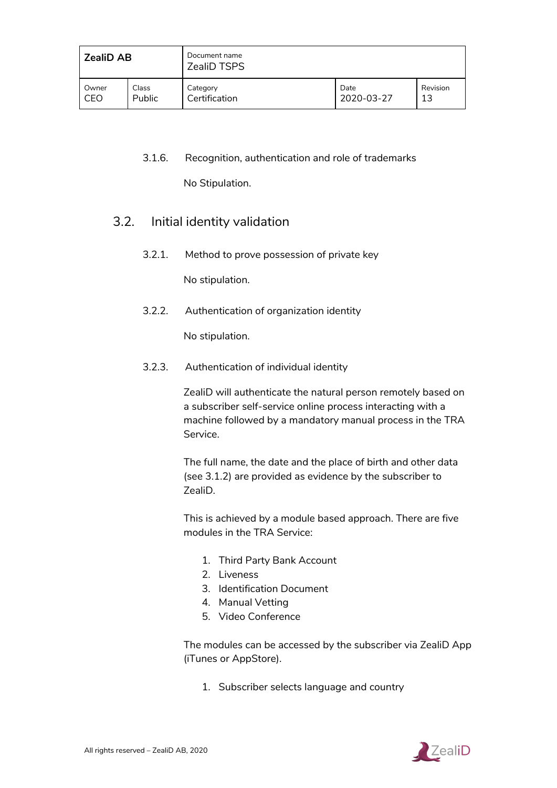| <b>ZealiD AB</b> |               | Document name<br><b>ZealiD TSPS</b> |            |          |
|------------------|---------------|-------------------------------------|------------|----------|
| Owner            | Class         | Category                            | Date       | Revision |
| CEO              | <b>Public</b> | Certification                       | 2020-03-27 | 13       |

#### <span id="page-18-0"></span>3.1.6. Recognition, authentication and role of trademarks

No Stipulation.

## <span id="page-18-1"></span>3.2. Initial identity validation

3.2.1. Method to prove possession of private key

No stipulation.

<span id="page-18-2"></span>3.2.2. Authentication of organization identity

No stipulation.

<span id="page-18-3"></span>3.2.3. Authentication of individual identity

ZealiD will authenticate the natural person remotely based on a subscriber self-service online process interacting with a machine followed by a mandatory manual process in the TRA Service.

The full name, the date and the place of birth and other data (see 3.1.2) are provided as evidence by the subscriber to ZealiD.

This is achieved by a module based approach. There are five modules in the TRA Service:

- 1. Third Party Bank Account
- 2. Liveness
- 3. Identification Document
- 4. Manual Vetting
- 5. Video Conference

The modules can be accessed by the subscriber via ZealiD App (iTunes or AppStore).

1. Subscriber selects language and country

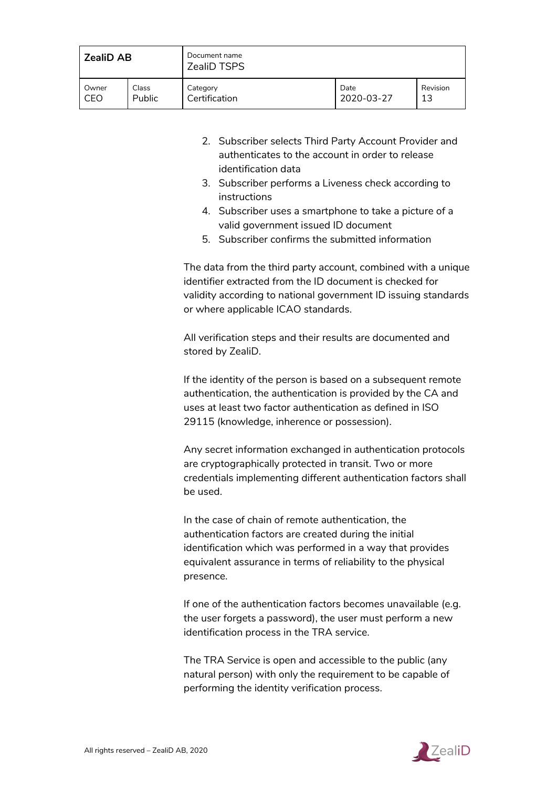| <b>ZealiD AB</b> |               | Document name<br><b>ZealiD TSPS</b> |            |          |
|------------------|---------------|-------------------------------------|------------|----------|
| Owner            | Class         | Category                            | Date       | Revision |
| CEO              | <b>Public</b> | Certification                       | 2020-03-27 | 13       |

- 2. Subscriber selects Third Party Account Provider and authenticates to the account in order to release identification data
- 3. Subscriber performs a Liveness check according to instructions
- 4. Subscriber uses a smartphone to take a picture of a valid government issued ID document
- 5. Subscriber confirms the submitted information

The data from the third party account, combined with a unique identifier extracted from the ID document is checked for validity according to national government ID issuing standards or where applicable ICAO standards.

All verification steps and their results are documented and stored by ZealiD.

If the identity of the person is based on a subsequent remote authentication, the authentication is provided by the CA and uses at least two factor authentication as defined in ISO 29115 (knowledge, inherence or possession).

Any secret information exchanged in authentication protocols are cryptographically protected in transit. Two or more credentials implementing different authentication factors shall be used.

In the case of chain of remote authentication, the authentication factors are created during the initial identification which was performed in a way that provides equivalent assurance in terms of reliability to the physical presence.

If one of the authentication factors becomes unavailable (e.g. the user forgets a password), the user must perform a new identification process in the TRA service.

The TRA Service is open and accessible to the public (any natural person) with only the requirement to be capable of performing the identity verification process.

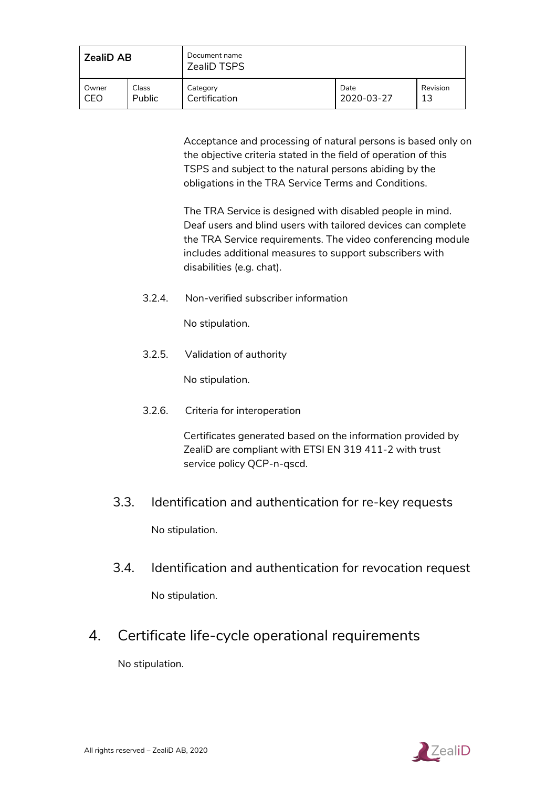| <b>ZealiD AB</b> |               | Document name<br><b>ZealiD TSPS</b> |            |          |
|------------------|---------------|-------------------------------------|------------|----------|
| Owner            | Class         | Category                            | Date       | Revision |
| CEO              | <b>Public</b> | Certification                       | 2020-03-27 | 13       |

Acceptance and processing of natural persons is based only on the objective criteria stated in the field of operation of this TSPS and subject to the natural persons abiding by the obligations in the TRA Service Terms and Conditions.

The TRA Service is designed with disabled people in mind. Deaf users and blind users with tailored devices can complete the TRA Service requirements. The video conferencing module includes additional measures to support subscribers with disabilities (e.g. chat).

<span id="page-20-0"></span>3.2.4. Non-verified subscriber information

No stipulation.

<span id="page-20-1"></span>3.2.5. Validation of authority

No stipulation.

<span id="page-20-2"></span>3.2.6. Criteria for interoperation

Certificates generated based on the information provided by ZealiD are compliant with ETSI EN 319 411-2 with trust service policy QCP-n-qscd.

- 3.3. Identification and authentication for re-key requests No stipulation.
- <span id="page-20-3"></span>3.4. Identification and authentication for revocation request No stipulation.
- 4. Certificate life-cycle operational requirements

No stipulation.

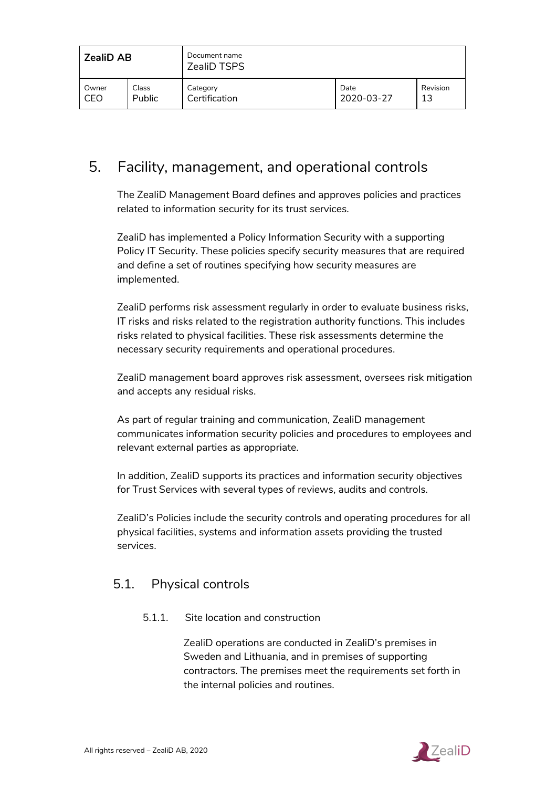| <b>ZealiD AB</b> |               | Document name<br><b>ZealiD TSPS</b> |            |          |
|------------------|---------------|-------------------------------------|------------|----------|
| Owner            | Class         | . Category                          | Date       | Revision |
| CEO              | <b>Public</b> | Certification                       | 2020-03-27 | 13       |

## 5. Facility, management, and operational controls

The ZealiD Management Board defines and approves policies and practices related to information security for its trust services.

ZealiD has implemented a Policy Information Security with a supporting Policy IT Security. These policies specify security measures that are required and define a set of routines specifying how security measures are implemented.

ZealiD performs risk assessment regularly in order to evaluate business risks, IT risks and risks related to the registration authority functions. This includes risks related to physical facilities. These risk assessments determine the necessary security requirements and operational procedures.

ZealiD management board approves risk assessment, oversees risk mitigation and accepts any residual risks.

As part of regular training and communication, ZealiD management communicates information security policies and procedures to employees and relevant external parties as appropriate.

In addition, ZealiD supports its practices and information security objectives for Trust Services with several types of reviews, audits and controls.

ZealiD's Policies include the security controls and operating procedures for all physical facilities, systems and information assets providing the trusted services.

## <span id="page-21-0"></span>5.1. Physical controls

#### 5.1.1. Site location and construction

ZealiD operations are conducted in ZealiD's premises in Sweden and Lithuania, and in premises of supporting contractors. The premises meet the requirements set forth in the internal policies and routines.

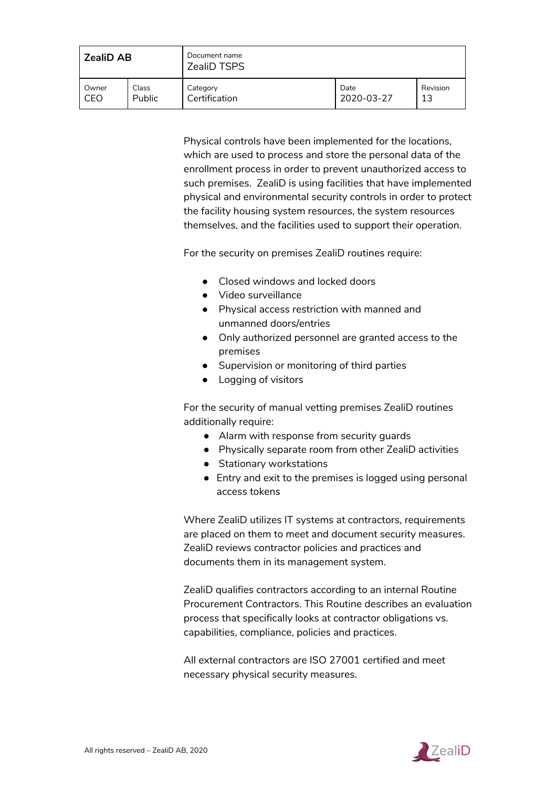| <b>ZealiD AB</b> |               | Document name<br><b>ZealiD TSPS</b> |            |          |
|------------------|---------------|-------------------------------------|------------|----------|
| Owner            | Class         | Category                            | Date       | Revision |
| CEO              | <b>Public</b> | Certification                       | 2020-03-27 | 13       |

Physical controls have been implemented for the locations, which are used to process and store the personal data of the enrollment process in order to prevent unauthorized access to such premises. ZealiD is using facilities that have implemented physical and environmental security controls in order to protect the facility housing system resources, the system resources themselves, and the facilities used to support their operation.

For the security on premises ZealiD routines require:

- Closed windows and locked doors
- Video surveillance
- Physical access restriction with manned and unmanned doors/entries
- Only authorized personnel are granted access to the premises
- Supervision or monitoring of third parties
- Logging of visitors

For the security of manual vetting premises ZealiD routines additionally require:

- Alarm with response from security guards
- Physically separate room from other ZealiD activities
- Stationary workstations
- Entry and exit to the premises is logged using personal access tokens

Where ZealiD utilizes IT systems at contractors, requirements are placed on them to meet and document security measures. ZealiD reviews contractor policies and practices and documents them in its management system.

ZealiD qualifies contractors according to an internal Routine Procurement Contractors. This Routine describes an evaluation process that specifically looks at contractor obligations vs. capabilities, compliance, policies and practices.

All external contractors are ISO 27001 certified and meet necessary physical security measures.

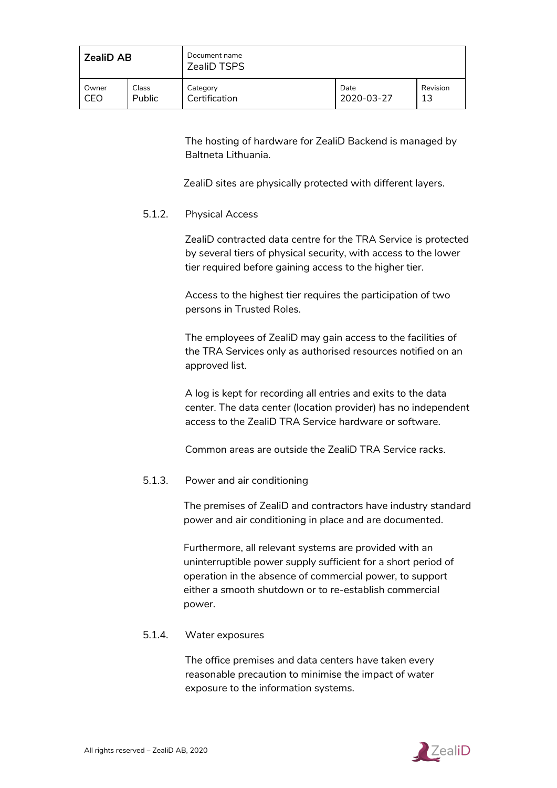| <b>ZealiD AB</b> |               | Document name<br><b>ZealiD TSPS</b> |            |          |
|------------------|---------------|-------------------------------------|------------|----------|
| Owner            | Class         | Category                            | Date       | Revision |
| CEO              | <b>Public</b> | Certification                       | 2020-03-27 | 13       |

The hosting of hardware for ZealiD Backend is managed by Baltneta Lithuania.

ZealiD sites are physically protected with different layers.

#### <span id="page-23-0"></span>5.1.2. Physical Access

ZealiD contracted data centre for the TRA Service is protected by several tiers of physical security, with access to the lower tier required before gaining access to the higher tier.

Access to the highest tier requires the participation of two persons in Trusted Roles.

The employees of ZealiD may gain access to the facilities of the TRA Services only as authorised resources notified on an approved list.

A log is kept for recording all entries and exits to the data center. The data center (location provider) has no independent access to the ZealiD TRA Service hardware or software.

Common areas are outside the ZealiD TRA Service racks.

#### <span id="page-23-1"></span>5.1.3. Power and air conditioning

The premises of ZealiD and contractors have industry standard power and air conditioning in place and are documented.

Furthermore, all relevant systems are provided with an uninterruptible power supply sufficient for a short period of operation in the absence of commercial power, to support either a smooth shutdown or to re-establish commercial power.

#### <span id="page-23-2"></span>5.1.4. Water exposures

The office premises and data centers have taken every reasonable precaution to minimise the impact of water exposure to the information systems.

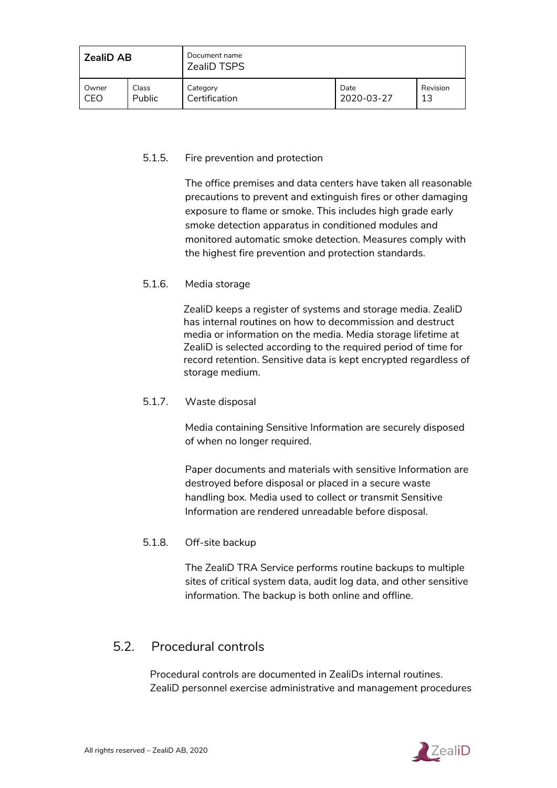| <b>ZealiD AB</b> |               | Document name<br><b>ZealiD TSPS</b> |            |          |
|------------------|---------------|-------------------------------------|------------|----------|
| Owner            | Class         | Category                            | Date       | Revision |
| CEO              | <b>Public</b> | Certification                       | 2020-03-27 | 13       |

#### <span id="page-24-0"></span>5.1.5. Fire prevention and protection

The office premises and data centers have taken all reasonable precautions to prevent and extinguish fires or other damaging exposure to flame or smoke. This includes high grade early smoke detection apparatus in conditioned modules and monitored automatic smoke detection. Measures comply with the highest fire prevention and protection standards.

#### <span id="page-24-1"></span>5.1.6. Media storage

ZealiD keeps a register of systems and storage media. ZealiD has internal routines on how to decommission and destruct media or information on the media. Media storage lifetime at ZealiD is selected according to the required period of time for record retention. Sensitive data is kept encrypted regardless of storage medium.

#### <span id="page-24-2"></span>5.1.7. Waste disposal

Media containing Sensitive Information are securely disposed of when no longer required.

Paper documents and materials with sensitive Information are destroyed before disposal or placed in a secure waste handling box. Media used to collect or transmit Sensitive Information are rendered unreadable before disposal.

#### <span id="page-24-3"></span>5.1.8. Off-site backup

The ZealiD TRA Service performs routine backups to multiple sites of critical system data, audit log data, and other sensitive information. The backup is both online and offline.

## <span id="page-24-4"></span>5.2. Procedural controls

Procedural controls are documented in ZealiDs internal routines. ZealiD personnel exercise administrative and management procedures

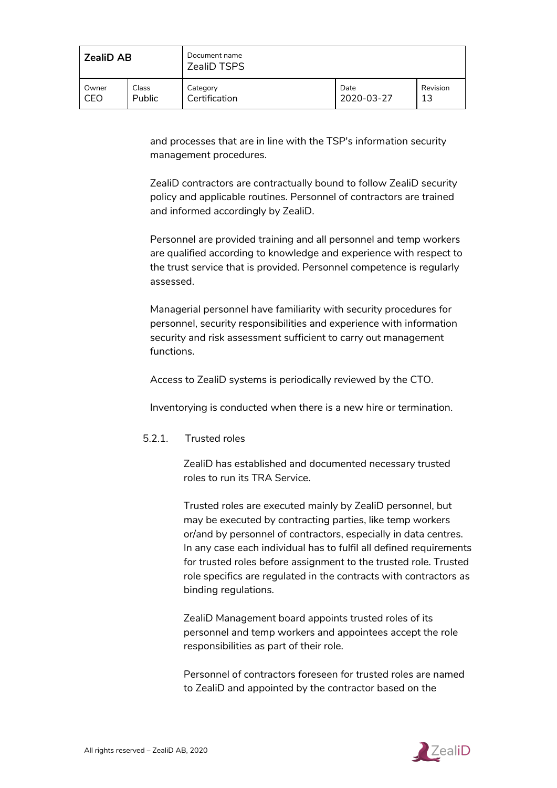| <b>ZealiD AB</b> |               | Document name<br><b>ZealiD TSPS</b> |            |          |
|------------------|---------------|-------------------------------------|------------|----------|
| Owner            | Class         | Category                            | Date       | Revision |
| CEO              | <b>Public</b> | Certification                       | 2020-03-27 | 13       |

and processes that are in line with the TSP's information security management procedures.

ZealiD contractors are contractually bound to follow ZealiD security policy and applicable routines. Personnel of contractors are trained and informed accordingly by ZealiD.

Personnel are provided training and all personnel and temp workers are qualified according to knowledge and experience with respect to the trust service that is provided. Personnel competence is regularly assessed.

Managerial personnel have familiarity with security procedures for personnel, security responsibilities and experience with information security and risk assessment sufficient to carry out management functions.

Access to ZealiD systems is periodically reviewed by the CTO.

Inventorying is conducted when there is a new hire or termination.

#### <span id="page-25-0"></span>5.2.1. Trusted roles

ZealiD has established and documented necessary trusted roles to run its TRA Service.

Trusted roles are executed mainly by ZealiD personnel, but may be executed by contracting parties, like temp workers or/and by personnel of contractors, especially in data centres. In any case each individual has to fulfil all defined requirements for trusted roles before assignment to the trusted role. Trusted role specifics are regulated in the contracts with contractors as binding regulations.

ZealiD Management board appoints trusted roles of its personnel and temp workers and appointees accept the role responsibilities as part of their role.

Personnel of contractors foreseen for trusted roles are named to ZealiD and appointed by the contractor based on the

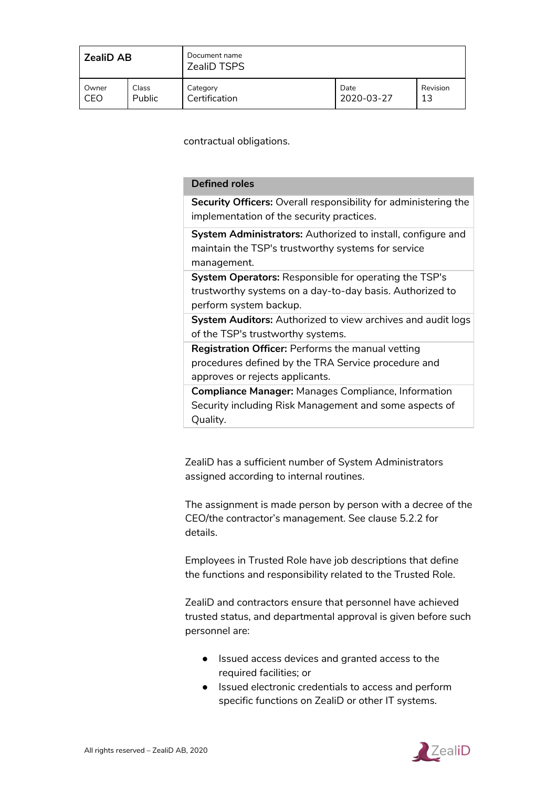| <b>ZealiD AB</b> |               | Document name<br><b>ZealiD TSPS</b> |            |          |
|------------------|---------------|-------------------------------------|------------|----------|
| Owner            | Class         | Category                            | Date       | Revision |
| CEO              | <b>Public</b> | Certification                       | 2020-03-27 | 13       |

contractual obligations.

#### **Defined roles**

**Security Officers:** Overall responsibility for administering the implementation of the security practices.

**System Administrators:** Authorized to install, configure and maintain the TSP's trustworthy systems for service management.

**System Operators:** Responsible for operating the TSP's trustworthy systems on a day-to-day basis. Authorized to perform system backup.

**System Auditors:** Authorized to view archives and audit logs of the TSP's trustworthy systems.

**Registration Officer:** Performs the manual vetting procedures defined by the TRA Service procedure and approves or rejects applicants.

**Compliance Manager:** Manages Compliance, Information Security including Risk Management and some aspects of Quality.

ZealiD has a sufficient number of System Administrators assigned according to internal routines.

The assignment is made person by person with a decree of the CEO/the contractor's management. See clause 5.2.2 for details.

Employees in Trusted Role have job descriptions that define the functions and responsibility related to the Trusted Role.

ZealiD and contractors ensure that personnel have achieved trusted status, and departmental approval is given before such personnel are:

- Issued access devices and granted access to the required facilities; or
- Issued electronic credentials to access and perform specific functions on ZealiD or other IT systems.

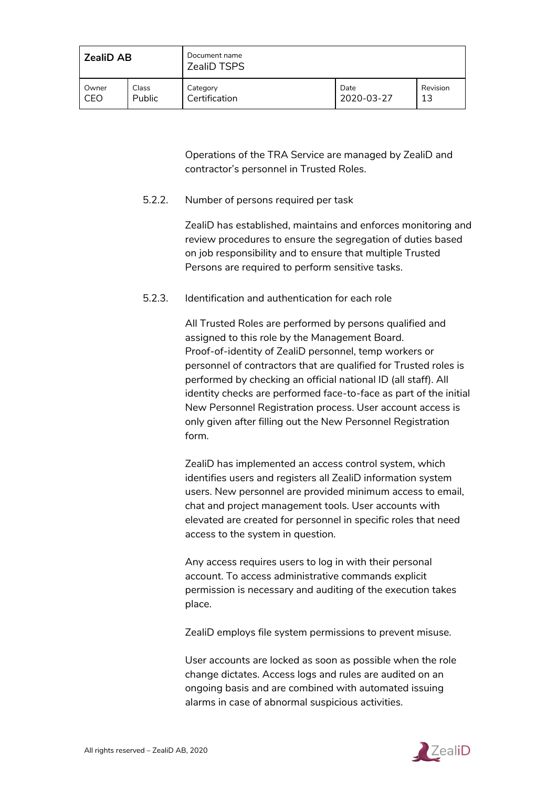| <b>ZealiD AB</b> |        | Document name<br><b>ZealiD TSPS</b> |            |          |
|------------------|--------|-------------------------------------|------------|----------|
| Owner            | Class  | Category                            | Date       | Revision |
| CEO              | Public | Certification                       | 2020-03-27 | 13       |

Operations of the TRA Service are managed by ZealiD and contractor's personnel in Trusted Roles.

#### <span id="page-27-0"></span>5.2.2. Number of persons required per task

ZealiD has established, maintains and enforces monitoring and review procedures to ensure the segregation of duties based on job responsibility and to ensure that multiple Trusted Persons are required to perform sensitive tasks.

#### <span id="page-27-1"></span>5.2.3. Identification and authentication for each role

All Trusted Roles are performed by persons qualified and assigned to this role by the Management Board. Proof-of-identity of ZealiD personnel, temp workers or personnel of contractors that are qualified for Trusted roles is performed by checking an official national ID (all staff). All identity checks are performed face-to-face as part of the initial New Personnel Registration process. User account access is only given after filling out the New Personnel Registration form.

ZealiD has implemented an access control system, which identifies users and registers all ZealiD information system users. New personnel are provided minimum access to email, chat and project management tools. User accounts with elevated are created for personnel in specific roles that need access to the system in question.

Any access requires users to log in with their personal account. To access administrative commands explicit permission is necessary and auditing of the execution takes place.

ZealiD employs file system permissions to prevent misuse.

User accounts are locked as soon as possible when the role change dictates. Access logs and rules are audited on an ongoing basis and are combined with automated issuing alarms in case of abnormal suspicious activities.

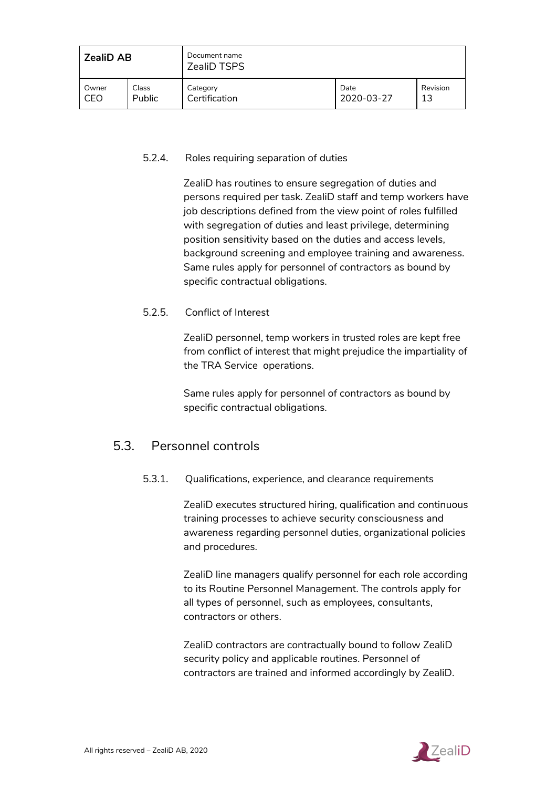| <b>ZealiD AB</b> |        | Document name<br><b>ZealiD TSPS</b> |            |          |
|------------------|--------|-------------------------------------|------------|----------|
| Owner            | Class  | Category                            | Date       | Revision |
| CEO              | Public | Certification                       | 2020-03-27 | 13       |

#### <span id="page-28-0"></span>5.2.4. Roles requiring separation of duties

ZealiD has routines to ensure segregation of duties and persons required per task. ZealiD staff and temp workers have job descriptions defined from the view point of roles fulfilled with segregation of duties and least privilege, determining position sensitivity based on the duties and access levels, background screening and employee training and awareness. Same rules apply for personnel of contractors as bound by specific contractual obligations.

#### <span id="page-28-1"></span>5.2.5. Conflict of Interest

ZealiD personnel, temp workers in trusted roles are kept free from conflict of interest that might prejudice the impartiality of the TRA Service operations.

Same rules apply for personnel of contractors as bound by specific contractual obligations.

## <span id="page-28-2"></span>5.3. Personnel controls

#### 5.3.1. Qualifications, experience, and clearance requirements

ZealiD executes structured hiring, qualification and continuous training processes to achieve security consciousness and awareness regarding personnel duties, organizational policies and procedures.

ZealiD line managers qualify personnel for each role according to its Routine Personnel Management. The controls apply for all types of personnel, such as employees, consultants, contractors or others.

ZealiD contractors are contractually bound to follow ZealiD security policy and applicable routines. Personnel of contractors are trained and informed accordingly by ZealiD.

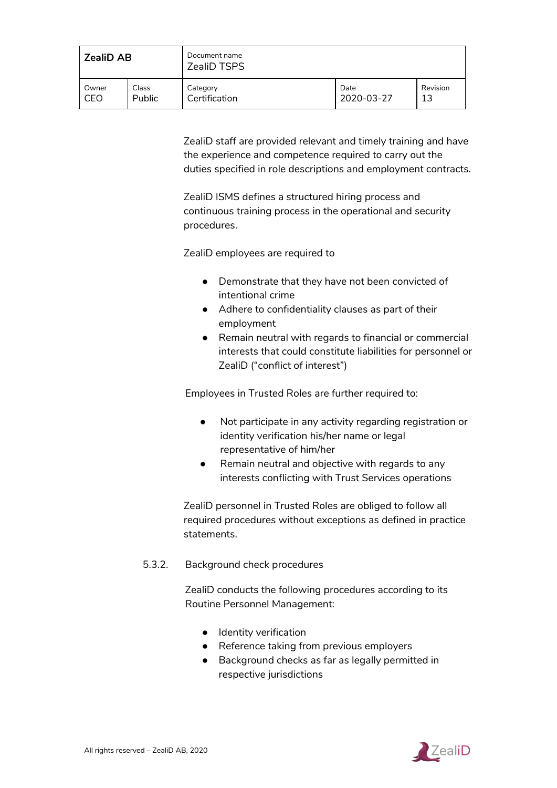| <b>ZealiD AB</b> |        | Document name<br><b>ZealiD TSPS</b> |            |          |
|------------------|--------|-------------------------------------|------------|----------|
| Owner            | Class  | . Category                          | Date       | Revision |
| CEO              | Public | Certification                       | 2020-03-27 | 13       |

ZealiD staff are provided relevant and timely training and have the experience and competence required to carry out the duties specified in role descriptions and employment contracts.

ZealiD ISMS defines a structured hiring process and continuous training process in the operational and security procedures.

ZealiD employees are required to

- Demonstrate that they have not been convicted of intentional crime
- Adhere to confidentiality clauses as part of their employment
- Remain neutral with regards to financial or commercial interests that could constitute liabilities for personnel or ZealiD ("conflict of interest")

Employees in Trusted Roles are further required to:

- Not participate in any activity regarding registration or identity verification his/her name or legal representative of him/her
- Remain neutral and objective with regards to any interests conflicting with Trust Services operations

ZealiD personnel in Trusted Roles are obliged to follow all required procedures without exceptions as defined in practice statements.

<span id="page-29-0"></span>5.3.2. Background check procedures

ZealiD conducts the following procedures according to its Routine Personnel Management:

- Identity verification
- Reference taking from previous employers
- Background checks as far as legally permitted in respective jurisdictions

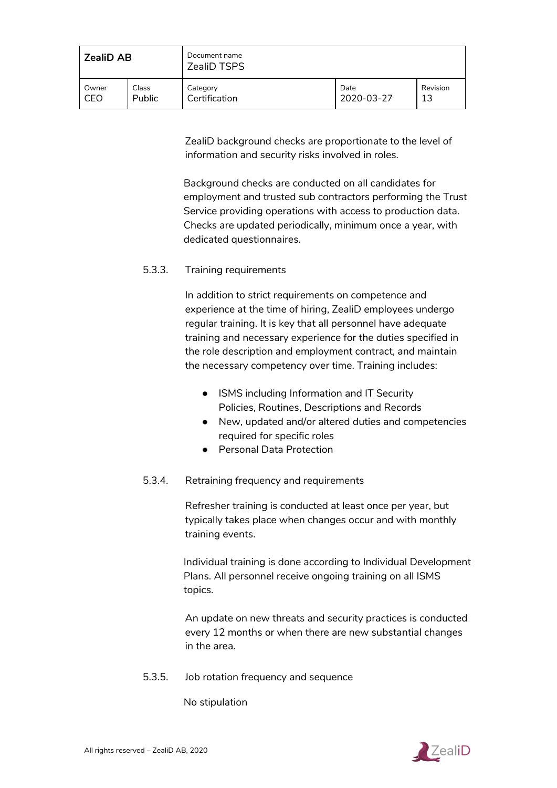| <b>ZealiD AB</b> |        | Document name<br><b>ZealiD TSPS</b> |            |          |
|------------------|--------|-------------------------------------|------------|----------|
| Owner            | Class  | Category                            | Date       | Revision |
| CEO              | Public | Certification                       | 2020-03-27 | 13       |

ZealiD background checks are proportionate to the level of information and security risks involved in roles.

Background checks are conducted on all candidates for employment and trusted sub contractors performing the Trust Service providing operations with access to production data. Checks are updated periodically, minimum once a year, with dedicated questionnaires.

#### <span id="page-30-0"></span>5.3.3. Training requirements

In addition to strict requirements on competence and experience at the time of hiring, ZealiD employees undergo regular training. It is key that all personnel have adequate training and necessary experience for the duties specified in the role description and employment contract, and maintain the necessary competency over time. Training includes:

- ISMS including Information and IT Security Policies, Routines, Descriptions and Records
- New, updated and/or altered duties and competencies required for specific roles
- Personal Data Protection

#### <span id="page-30-1"></span>5.3.4. Retraining frequency and requirements

Refresher training is conducted at least once per year, but typically takes place when changes occur and with monthly training events.

Individual training is done according to Individual Development Plans. All personnel receive ongoing training on all ISMS topics.

An update on new threats and security practices is conducted every 12 months or when there are new substantial changes in the area.

<span id="page-30-2"></span>5.3.5. Job rotation frequency and sequence

No stipulation

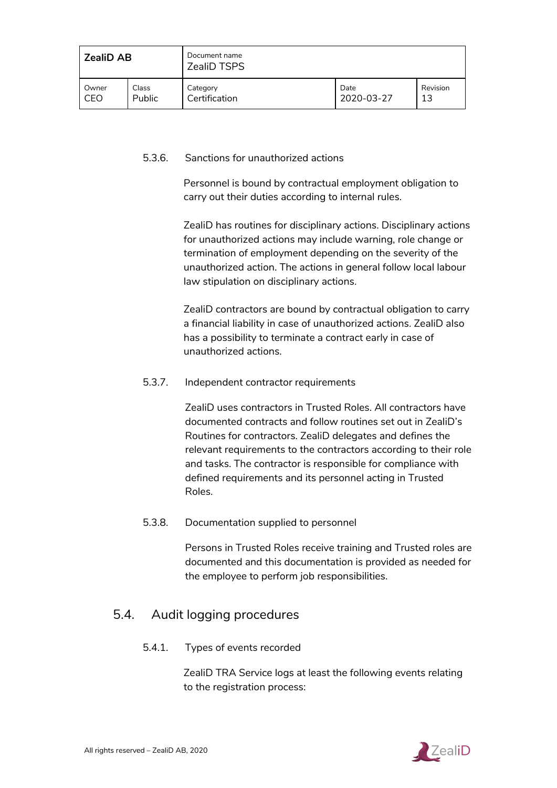| <b>ZealiD AB</b> |        | Document name<br><b>ZealiD TSPS</b> |            |          |
|------------------|--------|-------------------------------------|------------|----------|
| Owner            | Class  | Category                            | Date       | Revision |
| CEO              | Public | Certification                       | 2020-03-27 | 13       |

#### <span id="page-31-0"></span>5.3.6. Sanctions for unauthorized actions

Personnel is bound by contractual employment obligation to carry out their duties according to internal rules.

ZealiD has routines for disciplinary actions. Disciplinary actions for unauthorized actions may include warning, role change or termination of employment depending on the severity of the unauthorized action. The actions in general follow local labour law stipulation on disciplinary actions.

ZealiD contractors are bound by contractual obligation to carry a financial liability in case of unauthorized actions. ZealiD also has a possibility to terminate a contract early in case of unauthorized actions.

#### <span id="page-31-1"></span>5.3.7. Independent contractor requirements

ZealiD uses contractors in Trusted Roles. All contractors have documented contracts and follow routines set out in ZealiD's Routines for contractors. ZealiD delegates and defines the relevant requirements to the contractors according to their role and tasks. The contractor is responsible for compliance with defined requirements and its personnel acting in Trusted Roles.

#### <span id="page-31-2"></span>5.3.8. Documentation supplied to personnel

Persons in Trusted Roles receive training and Trusted roles are documented and this documentation is provided as needed for the employee to perform job responsibilities.

## <span id="page-31-3"></span>5.4. Audit logging procedures

#### 5.4.1. Types of events recorded

ZealiD TRA Service logs at least the following events relating to the registration process:

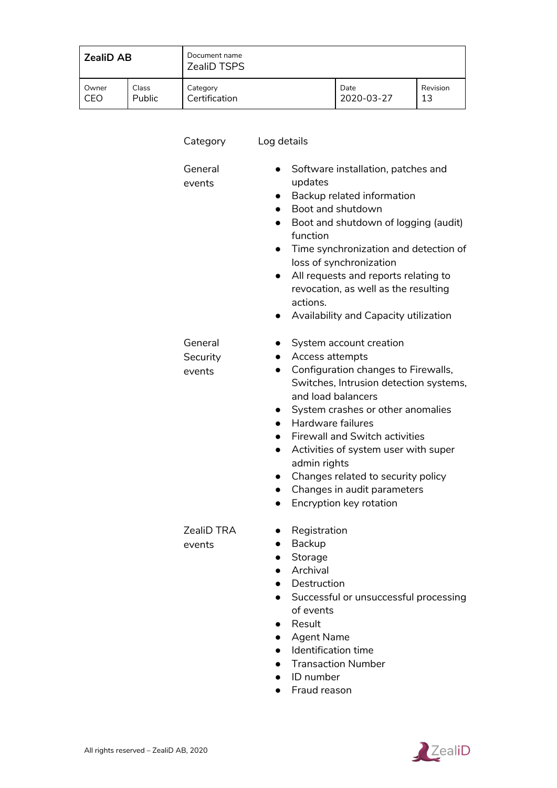| <b>ZealiD AB</b> |        | Document name<br><b>ZealiD TSPS</b> |            |          |
|------------------|--------|-------------------------------------|------------|----------|
| Owner            | Class  | Category                            | Date       | Revision |
| CEO              | Public | Certification                       | 2020-03-27 | 13       |

| Category                      | Log details                                                                                                                                                                                                                                                                                                                                                                                                                                         |
|-------------------------------|-----------------------------------------------------------------------------------------------------------------------------------------------------------------------------------------------------------------------------------------------------------------------------------------------------------------------------------------------------------------------------------------------------------------------------------------------------|
| General<br>events             | Software installation, patches and<br>updates<br>Backup related information<br>Boot and shutdown<br>Boot and shutdown of logging (audit)<br>function<br>Time synchronization and detection of<br>loss of synchronization<br>All requests and reports relating to<br>$\bullet$<br>revocation, as well as the resulting<br>actions.<br>Availability and Capacity utilization                                                                          |
| General<br>Security<br>events | System account creation<br>Access attempts<br>Configuration changes to Firewalls,<br>$\bullet$<br>Switches, Intrusion detection systems,<br>and load balancers<br>System crashes or other anomalies<br>Hardware failures<br><b>Firewall and Switch activities</b><br>Activities of system user with super<br>$\bullet$<br>admin rights<br>Changes related to security policy<br>Changes in audit parameters<br>Encryption key rotation<br>$\bullet$ |
| ZealiD TRA<br>events          | Registration<br>Backup<br>Storage<br>Archival<br>Destruction<br>Successful or unsuccessful processing<br>of events<br>Result<br><b>Agent Name</b><br>Identification time<br><b>Transaction Number</b><br>ID number                                                                                                                                                                                                                                  |

● Fraud reason

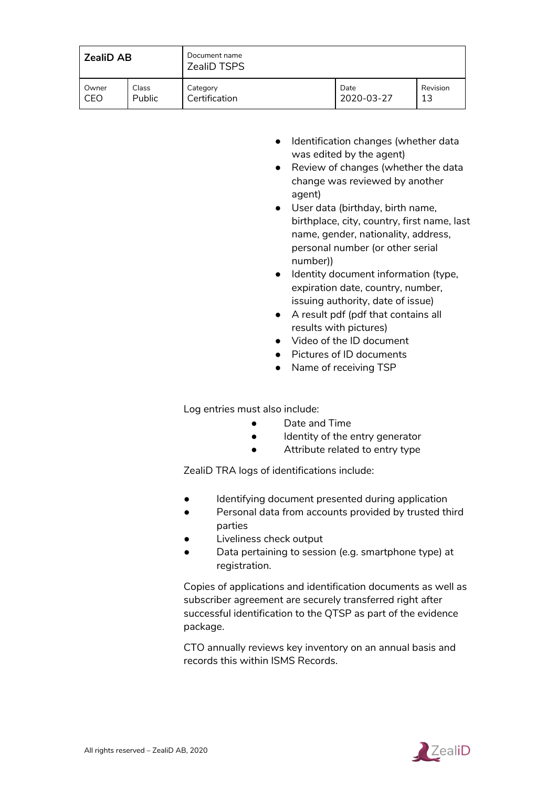| <b>ZealiD AB</b> |        | Document name<br><b>ZealiD TSPS</b> |            |          |
|------------------|--------|-------------------------------------|------------|----------|
| Owner            | Class  | Category                            | Date       | Revision |
| CEO              | Public | Certification                       | 2020-03-27 | 13       |

- Identification changes (whether data was edited by the agent)
- Review of changes (whether the data change was reviewed by another agent)
- User data (birthday, birth name, birthplace, city, country, first name, last name, gender, nationality, address, personal number (or other serial number))
- Identity document information (type, expiration date, country, number, issuing authority, date of issue)
- A result pdf (pdf that contains all results with pictures)
- Video of the ID document
- Pictures of ID documents
- Name of receiving TSP

Log entries must also include:

- Date and Time
- Identity of the entry generator
- Attribute related to entry type

ZealiD TRA logs of identifications include:

- Identifying document presented during application
- Personal data from accounts provided by trusted third parties
- Liveliness check output
- Data pertaining to session (e.g. smartphone type) at registration.

Copies of applications and identification documents as well as subscriber agreement are securely transferred right after successful identification to the QTSP as part of the evidence package.

CTO annually reviews key inventory on an annual basis and records this within ISMS Records.

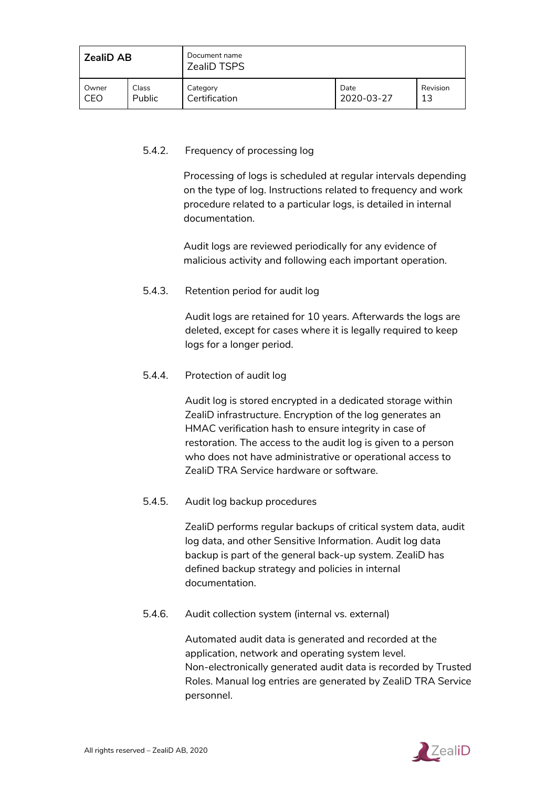| <b>ZealiD AB</b> |        | Document name<br>ZealiD TSPS |            |          |
|------------------|--------|------------------------------|------------|----------|
| Owner            | Class  | Category                     | Date       | Revision |
| CEO              | Public | Certification                | 2020-03-27 | 13       |

#### <span id="page-34-0"></span>5.4.2. Frequency of processing log

Processing of logs is scheduled at regular intervals depending on the type of log. Instructions related to frequency and work procedure related to a particular logs, is detailed in internal documentation.

Audit logs are reviewed periodically for any evidence of malicious activity and following each important operation.

#### <span id="page-34-1"></span>5.4.3. Retention period for audit log

Audit logs are retained for 10 years. Afterwards the logs are deleted, except for cases where it is legally required to keep logs for a longer period.

#### <span id="page-34-2"></span>5.4.4. Protection of audit log

Audit log is stored encrypted in a dedicated storage within ZealiD infrastructure. Encryption of the log generates an HMAC verification hash to ensure integrity in case of restoration. The access to the audit log is given to a person who does not have administrative or operational access to ZealiD TRA Service hardware or software.

#### <span id="page-34-3"></span>5.4.5. Audit log backup procedures

ZealiD performs regular backups of critical system data, audit log data, and other Sensitive Information. Audit log data backup is part of the general back-up system. ZealiD has defined backup strategy and policies in internal documentation.

#### <span id="page-34-4"></span>5.4.6. Audit collection system (internal vs. external)

Automated audit data is generated and recorded at the application, network and operating system level. Non-electronically generated audit data is recorded by Trusted Roles. Manual log entries are generated by ZealiD TRA Service personnel.

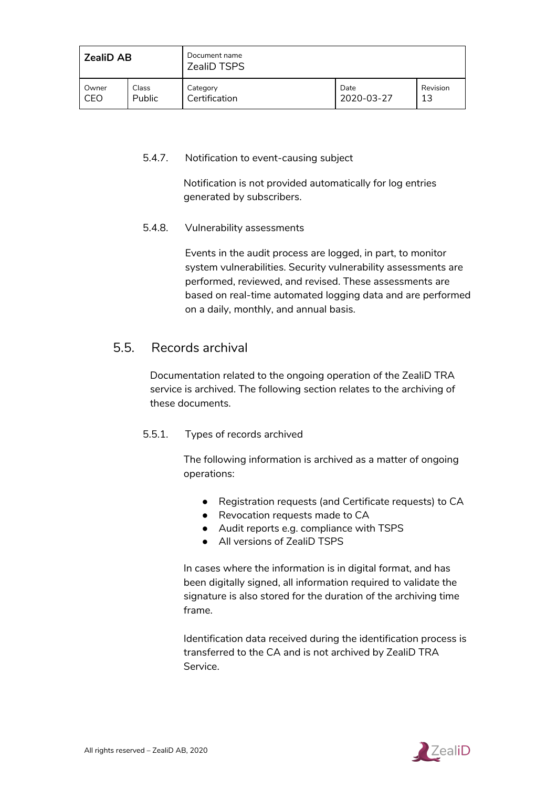| <b>ZealiD AB</b> |        | Document name<br><b>ZealiD TSPS</b> |            |          |
|------------------|--------|-------------------------------------|------------|----------|
| Owner            | Class  | Category                            | Date       | Revision |
| CEO              | Public | Certification                       | 2020-03-27 | 13       |

#### <span id="page-35-0"></span>5.4.7. Notification to event-causing subject

Notification is not provided automatically for log entries generated by subscribers.

#### <span id="page-35-1"></span>5.4.8. Vulnerability assessments

Events in the audit process are logged, in part, to monitor system vulnerabilities. Security vulnerability assessments are performed, reviewed, and revised. These assessments are based on real-time automated logging data and are performed on a daily, monthly, and annual basis.

## <span id="page-35-2"></span>5.5. Records archival

Documentation related to the ongoing operation of the ZealiD TRA service is archived. The following section relates to the archiving of these documents.

#### <span id="page-35-3"></span>5.5.1. Types of records archived

The following information is archived as a matter of ongoing operations:

- Registration requests (and Certificate requests) to CA
- Revocation requests made to CA
- Audit reports e.g. compliance with TSPS
- All versions of ZealiD TSPS

In cases where the information is in digital format, and has been digitally signed, all information required to validate the signature is also stored for the duration of the archiving time frame.

Identification data received during the identification process is transferred to the CA and is not archived by ZealiD TRA Service.

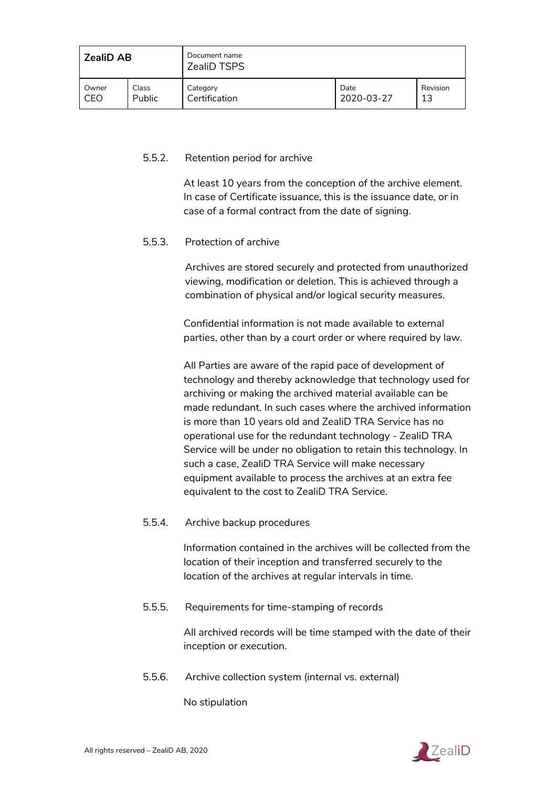| <b>ZealiD AB</b> |        | Document name<br><b>ZealiD TSPS</b> |            |          |
|------------------|--------|-------------------------------------|------------|----------|
| Owner            | Class  | Category                            | Date       | Revision |
| CEO              | Public | Certification                       | 2020-03-27 | 13       |

#### <span id="page-36-0"></span>5.5.2. Retention period for archive

At least 10 years from the conception of the archive element. In case of Certificate issuance, this is the issuance date, or in case of a formal contract from the date of signing.

#### <span id="page-36-1"></span>5.5.3. Protection of archive

Archives are stored securely and protected from unauthorized viewing, modification or deletion. This is achieved through a combination of physical and/or logical security measures.

Confidential information is not made available to external parties, other than by a court order or where required by law.

All Parties are aware of the rapid pace of development of technology and thereby acknowledge that technology used for archiving or making the archived material available can be made redundant. In such cases where the archived information is more than 10 years old and ZealiD TRA Service has no operational use for the redundant technology - ZealiD TRA Service will be under no obligation to retain this technology. In such a case, ZealiD TRA Service will make necessary equipment available to process the archives at an extra fee equivalent to the cost to ZealiD TRA Service.

<span id="page-36-2"></span>5.5.4. Archive backup procedures

Information contained in the archives will be collected from the location of their inception and transferred securely to the location of the archives at regular intervals in time.

<span id="page-36-3"></span>5.5.5. Requirements for time-stamping of records

All archived records will be time stamped with the date of their inception or execution.

<span id="page-36-4"></span>5.5.6. Archive collection system (internal vs. external)

No stipulation

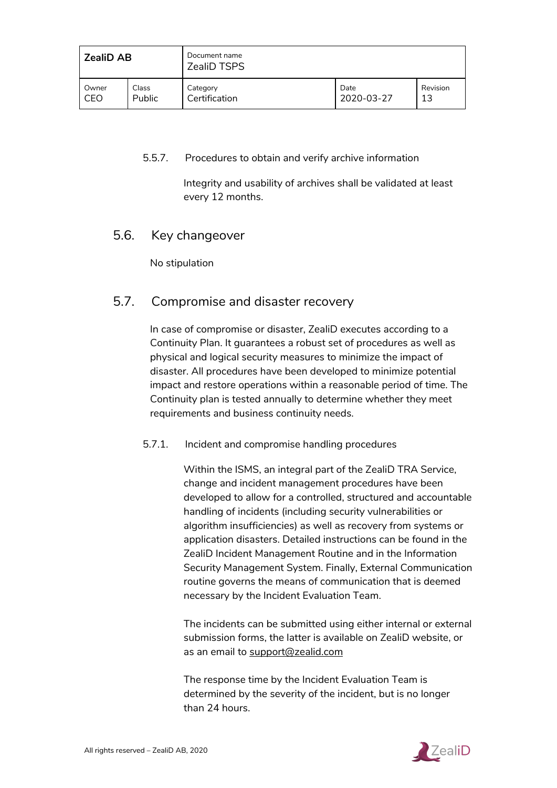| <b>ZealiD AB</b> |        | Document name<br><b>ZealiD TSPS</b> |            |          |
|------------------|--------|-------------------------------------|------------|----------|
| Owner            | Class  | Category                            | Date       | Revision |
| CEO              | Public | Certification                       | 2020-03-27 | 13       |

#### <span id="page-37-0"></span>5.5.7. Procedures to obtain and verify archive information

Integrity and usability of archives shall be validated at least every 12 months.

## <span id="page-37-1"></span>5.6. Key changeover

No stipulation

## <span id="page-37-2"></span>5.7. Compromise and disaster recovery

In case of compromise or disaster, ZealiD executes according to a Continuity Plan. It guarantees a robust set of procedures as well as physical and logical security measures to minimize the impact of disaster. All procedures have been developed to minimize potential impact and restore operations within a reasonable period of time. The Continuity plan is tested annually to determine whether they meet requirements and business continuity needs.

#### <span id="page-37-3"></span>5.7.1. Incident and compromise handling procedures

Within the ISMS, an integral part of the ZealiD TRA Service, change and incident management procedures have been developed to allow for a controlled, structured and accountable handling of incidents (including security vulnerabilities or algorithm insufficiencies) as well as recovery from systems or application disasters. Detailed instructions can be found in the ZealiD Incident Management Routine and in the Information Security Management System. Finally, External Communication routine governs the means of communication that is deemed necessary by the Incident Evaluation Team.

The incidents can be submitted using either internal or external submission forms, the latter is available on ZealiD website, or as an email to [support@zealid.com](mailto:support@zealid.com)

The response time by the Incident Evaluation Team is determined by the severity of the incident, but is no longer than 24 hours.

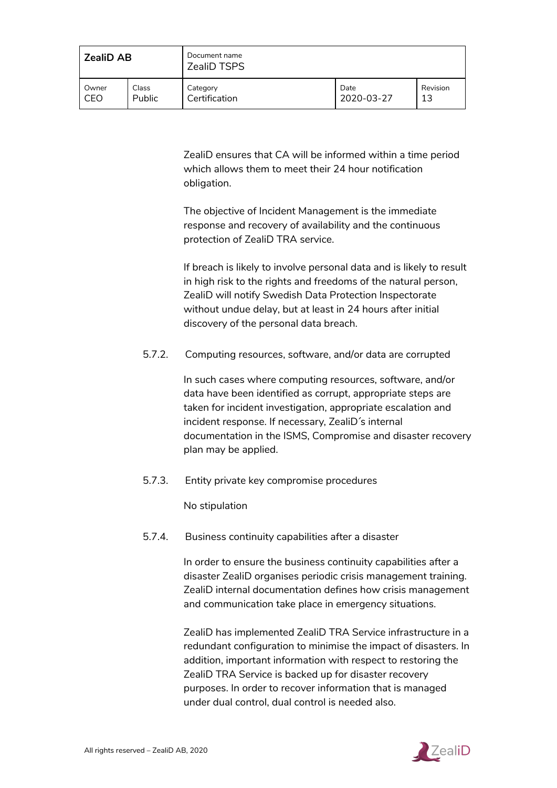| l ZealiD AB |        | Document name<br><b>ZealiD TSPS</b> |            |          |
|-------------|--------|-------------------------------------|------------|----------|
| Owner       | Class  | Category                            | Date       | Revision |
| l CEO       | Public | Certification                       | 2020-03-27 | 13       |

ZealiD ensures that CA will be informed within a time period which allows them to meet their 24 hour notification obligation.

The objective of Incident Management is the immediate response and recovery of availability and the continuous protection of ZealiD TRA service.

If breach is likely to involve personal data and is likely to result in high risk to the rights and freedoms of the natural person, ZealiD will notify Swedish Data Protection Inspectorate without undue delay, but at least in 24 hours after initial discovery of the personal data breach.

<span id="page-38-0"></span>5.7.2. Computing resources, software, and/or data are corrupted

In such cases where computing resources, software, and/or data have been identified as corrupt, appropriate steps are taken for incident investigation, appropriate escalation and incident response. If necessary, ZealiD ́s internal documentation in the ISMS, Compromise and disaster recovery plan may be applied.

<span id="page-38-1"></span>5.7.3. Entity private key compromise procedures

No stipulation

<span id="page-38-2"></span>5.7.4. Business continuity capabilities after a disaster

In order to ensure the business continuity capabilities after a disaster ZealiD organises periodic crisis management training. ZealiD internal documentation defines how crisis management and communication take place in emergency situations.

ZealiD has implemented ZealiD TRA Service infrastructure in a redundant configuration to minimise the impact of disasters. In addition, important information with respect to restoring the ZealiD TRA Service is backed up for disaster recovery purposes. In order to recover information that is managed under dual control, dual control is needed also.

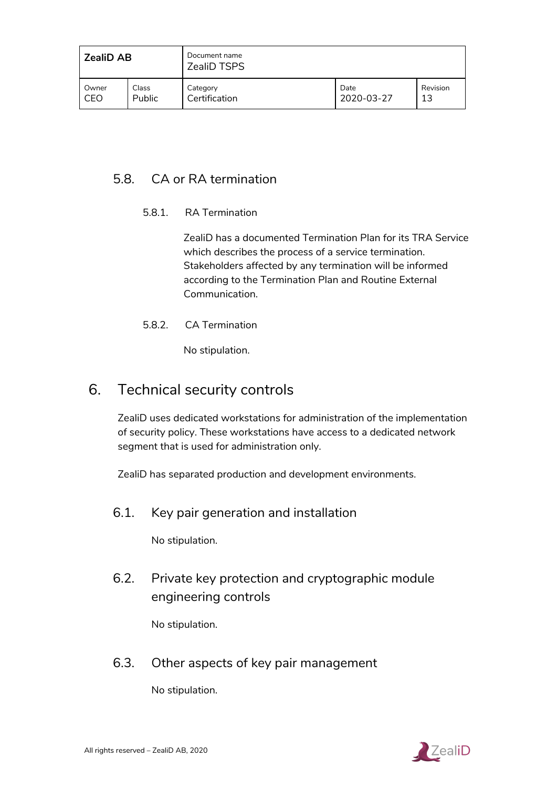| <b>ZealiD AB</b> |        | Document name<br><b>ZealiD TSPS</b> |            |          |
|------------------|--------|-------------------------------------|------------|----------|
| Owner            | Class  | Category                            | Date       | Revision |
| CEO              | Public | Certification                       | 2020-03-27 | 13       |

## <span id="page-39-1"></span><span id="page-39-0"></span>5.8. CA or RA termination

#### 5.8.1. RA Termination

ZealiD has a documented Termination Plan for its TRA Service which describes the process of a service termination. Stakeholders affected by any termination will be informed according to the Termination Plan and Routine External Communication.

<span id="page-39-2"></span>5.8.2. CA Termination

No stipulation.

## <span id="page-39-3"></span>6. Technical security controls

ZealiD uses dedicated workstations for administration of the implementation of security policy. These workstations have access to a dedicated network segment that is used for administration only.

<span id="page-39-4"></span>ZealiD has separated production and development environments.

6.1. Key pair generation and installation

No stipulation.

<span id="page-39-5"></span>6.2. Private key protection and cryptographic module engineering controls

No stipulation.

<span id="page-39-6"></span>6.3. Other aspects of key pair management

No stipulation.

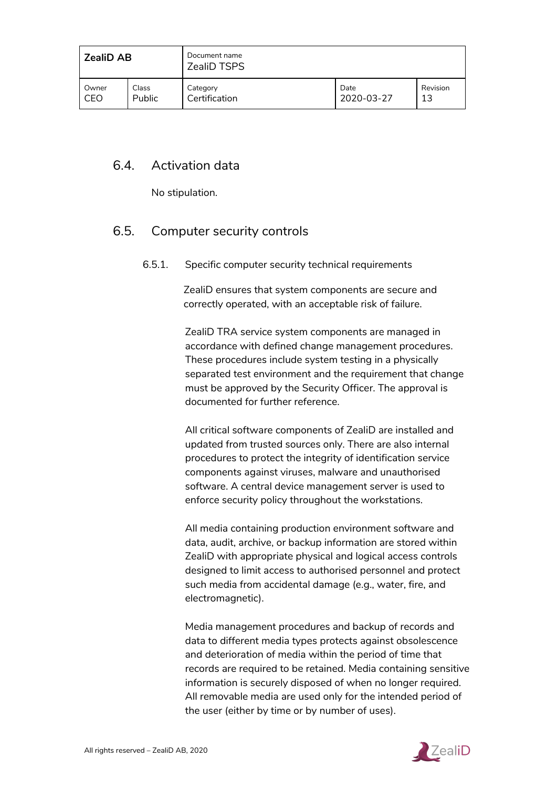| <b>ZealiD AB</b> |        | Document name<br><b>ZealiD TSPS</b> |            |          |
|------------------|--------|-------------------------------------|------------|----------|
| Owner            | Class  | Category                            | Date       | Revision |
| CEO              | Public | Certification                       | 2020-03-27 | 13       |

## <span id="page-40-0"></span>6.4. Activation data

No stipulation.

## <span id="page-40-2"></span><span id="page-40-1"></span>6.5. Computer security controls

#### 6.5.1. Specific computer security technical requirements

ZealiD ensures that system components are secure and correctly operated, with an acceptable risk of failure.

ZealiD TRA service system components are managed in accordance with defined change management procedures. These procedures include system testing in a physically separated test environment and the requirement that change must be approved by the Security Officer. The approval is documented for further reference.

All critical software components of ZealiD are installed and updated from trusted sources only. There are also internal procedures to protect the integrity of identification service components against viruses, malware and unauthorised software. A central device management server is used to enforce security policy throughout the workstations.

All media containing production environment software and data, audit, archive, or backup information are stored within ZealiD with appropriate physical and logical access controls designed to limit access to authorised personnel and protect such media from accidental damage (e.g., water, fire, and electromagnetic).

Media management procedures and backup of records and data to different media types protects against obsolescence and deterioration of media within the period of time that records are required to be retained. Media containing sensitive information is securely disposed of when no longer required. All removable media are used only for the intended period of the user (either by time or by number of uses).

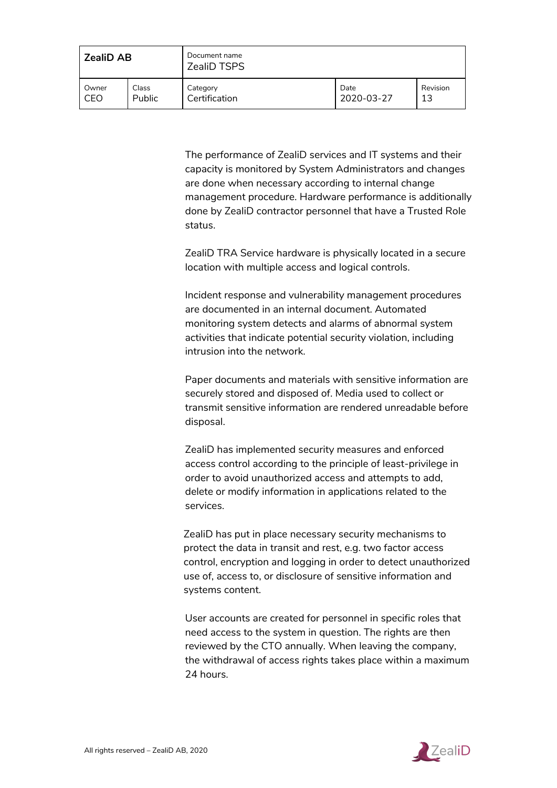| <b>ZealiD AB</b> |        | Document name<br><b>ZealiD TSPS</b> |            |          |
|------------------|--------|-------------------------------------|------------|----------|
| Owner            | Class  | Category                            | Date       | Revision |
| CEO              | Public | Certification                       | 2020-03-27 | 13       |

The performance of ZealiD services and IT systems and their capacity is monitored by System Administrators and changes are done when necessary according to internal change management procedure. Hardware performance is additionally done by ZealiD contractor personnel that have a Trusted Role status.

ZealiD TRA Service hardware is physically located in a secure location with multiple access and logical controls.

Incident response and vulnerability management procedures are documented in an internal document. Automated monitoring system detects and alarms of abnormal system activities that indicate potential security violation, including intrusion into the network.

Paper documents and materials with sensitive information are securely stored and disposed of. Media used to collect or transmit sensitive information are rendered unreadable before disposal.

ZealiD has implemented security measures and enforced access control according to the principle of least-privilege in order to avoid unauthorized access and attempts to add, delete or modify information in applications related to the services.

ZealiD has put in place necessary security mechanisms to protect the data in transit and rest, e.g. two factor access control, encryption and logging in order to detect unauthorized use of, access to, or disclosure of sensitive information and systems content.

User accounts are created for personnel in specific roles that need access to the system in question. The rights are then reviewed by the CTO annually. When leaving the company, the withdrawal of access rights takes place within a maximum 24 hours.

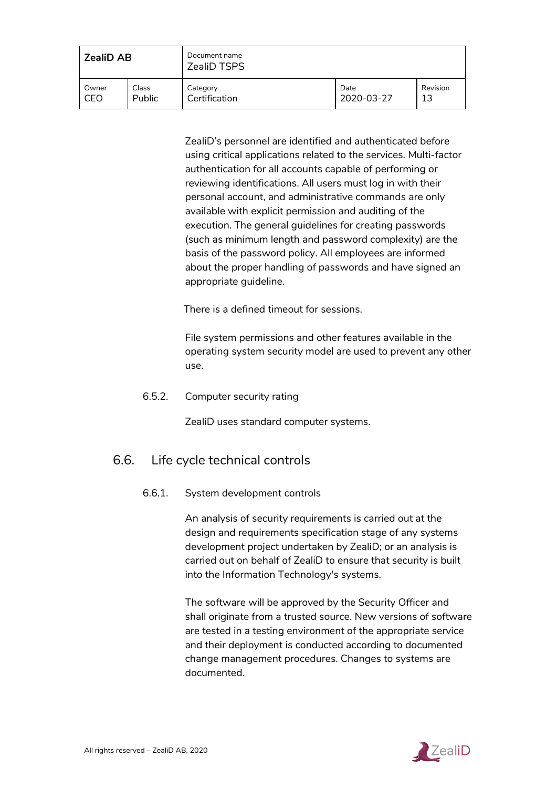| <b>ZealiD AB</b> |        | Document name<br><b>ZealiD TSPS</b> |            |          |
|------------------|--------|-------------------------------------|------------|----------|
| Owner            | Class  | Category                            | Date       | Revision |
| CEO              | Public | Certification                       | 2020-03-27 | 13       |

ZealiD's personnel are identified and authenticated before using critical applications related to the services. Multi-factor authentication for all accounts capable of performing or reviewing identifications. All users must log in with their personal account, and administrative commands are only available with explicit permission and auditing of the execution. The general guidelines for creating passwords (such as minimum length and password complexity) are the basis of the password policy. All employees are informed about the proper handling of passwords and have signed an appropriate guideline.

There is a defined timeout for sessions.

File system permissions and other features available in the operating system security model are used to prevent any other use.

<span id="page-42-0"></span>6.5.2. Computer security rating

ZealiD uses standard computer systems.

## <span id="page-42-1"></span>6.6. Life cycle technical controls

#### 6.6.1. System development controls

An analysis of security requirements is carried out at the design and requirements specification stage of any systems development project undertaken by ZealiD; or an analysis is carried out on behalf of ZealiD to ensure that security is built into the Information Technology's systems.

The software will be approved by the Security Officer and shall originate from a trusted source. New versions of software are tested in a testing environment of the appropriate service and their deployment is conducted according to documented change management procedures. Changes to systems are documented.

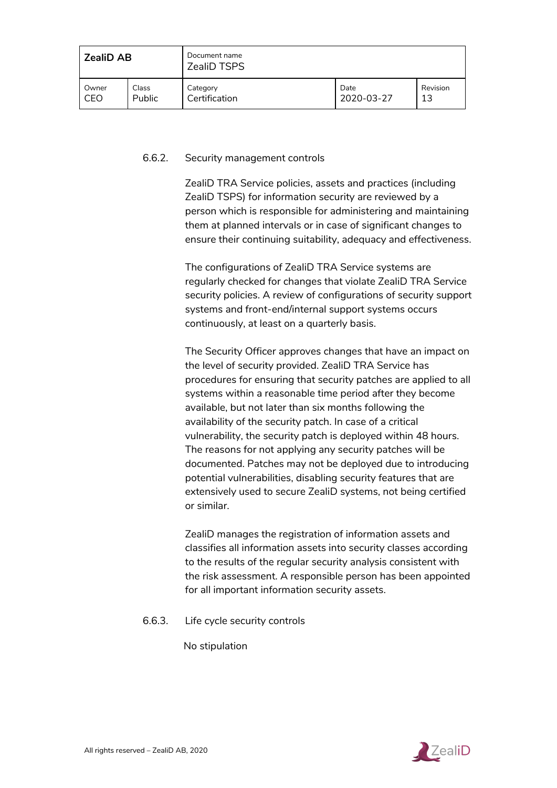| <b>ZealiD AB</b> |               | Document name<br><b>ZealiD TSPS</b> |            |          |
|------------------|---------------|-------------------------------------|------------|----------|
| Owner            | Class         | Category                            | Date       | Revision |
| CEO              | <b>Public</b> | Certification                       | 2020-03-27 | 13       |

#### <span id="page-43-0"></span>6.6.2. Security management controls

ZealiD TRA Service policies, assets and practices (including ZealiD TSPS) for information security are reviewed by a person which is responsible for administering and maintaining them at planned intervals or in case of significant changes to ensure their continuing suitability, adequacy and effectiveness.

The configurations of ZealiD TRA Service systems are regularly checked for changes that violate ZealiD TRA Service security policies. A review of configurations of security support systems and front-end/internal support systems occurs continuously, at least on a quarterly basis.

The Security Officer approves changes that have an impact on the level of security provided. ZealiD TRA Service has procedures for ensuring that security patches are applied to all systems within a reasonable time period after they become available, but not later than six months following the availability of the security patch. In case of a critical vulnerability, the security patch is deployed within 48 hours. The reasons for not applying any security patches will be documented. Patches may not be deployed due to introducing potential vulnerabilities, disabling security features that are extensively used to secure ZealiD systems, not being certified or similar.

ZealiD manages the registration of information assets and classifies all information assets into security classes according to the results of the regular security analysis consistent with the risk assessment. A responsible person has been appointed for all important information security assets.

#### <span id="page-43-1"></span>6.6.3. Life cycle security controls

No stipulation

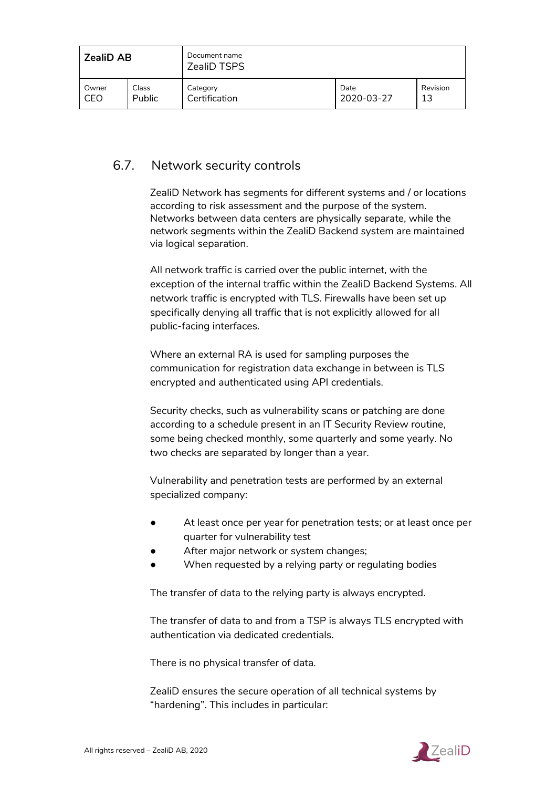| <b>ZealiD AB</b> |        | Document name<br><b>ZealiD TSPS</b> |            |          |
|------------------|--------|-------------------------------------|------------|----------|
| Owner            | Class  | Category                            | Date       | Revision |
| CEO              | Public | Certification                       | 2020-03-27 | 13       |

## <span id="page-44-0"></span>6.7. Network security controls

ZealiD Network has segments for different systems and / or locations according to risk assessment and the purpose of the system. Networks between data centers are physically separate, while the network segments within the ZealiD Backend system are maintained via logical separation.

All network traffic is carried over the public internet, with the exception of the internal traffic within the ZealiD Backend Systems. All network traffic is encrypted with TLS. Firewalls have been set up specifically denying all traffic that is not explicitly allowed for all public-facing interfaces.

Where an external RA is used for sampling purposes the communication for registration data exchange in between is TLS encrypted and authenticated using API credentials.

Security checks, such as vulnerability scans or patching are done according to a schedule present in an IT Security Review routine, some being checked monthly, some quarterly and some yearly. No two checks are separated by longer than a year.

Vulnerability and penetration tests are performed by an external specialized company:

- At least once per year for penetration tests; or at least once per quarter for vulnerability test
- After major network or system changes;
- When requested by a relying party or regulating bodies

The transfer of data to the relying party is always encrypted.

The transfer of data to and from a TSP is always TLS encrypted with authentication via dedicated credentials.

There is no physical transfer of data.

ZealiD ensures the secure operation of all technical systems by "hardening". This includes in particular:

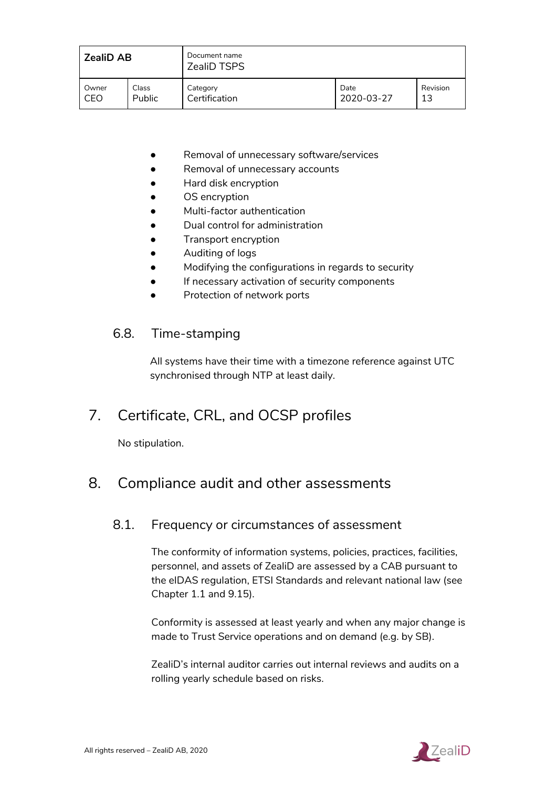| <b>ZealiD AB</b> |        | Document name<br><b>ZealiD TSPS</b> |            |          |
|------------------|--------|-------------------------------------|------------|----------|
| Owner            | Class  | Category                            | Date       | Revision |
| CEO              | Public | Certification                       | 2020-03-27 | 13       |

- Removal of unnecessary software/services
- Removal of unnecessary accounts
- Hard disk encryption
- OS encryption
- Multi-factor authentication
- Dual control for administration
- Transport encryption
- Auditing of logs
- Modifying the configurations in regards to security
- If necessary activation of security components
- Protection of network ports

## <span id="page-45-0"></span>6.8. Time-stamping

All systems have their time with a timezone reference against UTC synchronised through NTP at least daily.

## <span id="page-45-1"></span>7. Certificate, CRL, and OCSP profiles

No stipulation.

## <span id="page-45-2"></span>8. Compliance audit and other assessments

## 8.1. Frequency or circumstances of assessment

The conformity of information systems, policies, practices, facilities, personnel, and assets of ZealiD are assessed by a CAB pursuant to the eIDAS regulation, ETSI Standards and relevant national law (see Chapter 1.1 and 9.15).

Conformity is assessed at least yearly and when any major change is made to Trust Service operations and on demand (e.g. by SB).

ZealiD's internal auditor carries out internal reviews and audits on a rolling yearly schedule based on risks.

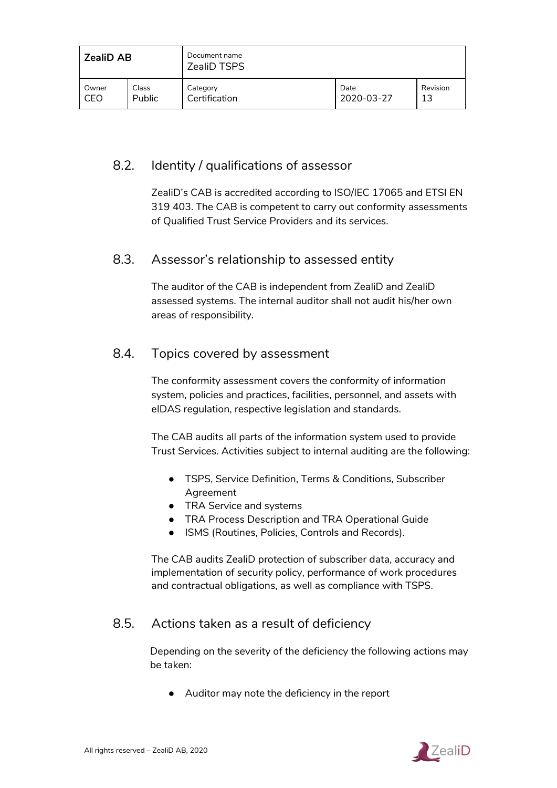| <b>ZealiD AB</b> |        | Document name<br><b>ZealiD TSPS</b> |            |          |
|------------------|--------|-------------------------------------|------------|----------|
| Owner            | Class  | Category                            | Date       | Revision |
| CEO              | Public | Certification                       | 2020-03-27 | 13       |

## <span id="page-46-0"></span>8.2. Identity / qualifications of assessor

ZealiD's CAB is accredited according to ISO/IEC 17065 and ETSI EN 319 403. The CAB is competent to carry out conformity assessments of Qualified Trust Service Providers and its services.

## <span id="page-46-1"></span>8.3. Assessor's relationship to assessed entity

The auditor of the CAB is independent from ZealiD and ZealiD assessed systems. The internal auditor shall not audit his/her own areas of responsibility.

## <span id="page-46-2"></span>8.4. Topics covered by assessment

The conformity assessment covers the conformity of information system, policies and practices, facilities, personnel, and assets with eIDAS regulation, respective legislation and standards.

The CAB audits all parts of the information system used to provide Trust Services. Activities subject to internal auditing are the following:

- TSPS, Service Definition, Terms & Conditions, Subscriber Agreement
- TRA Service and systems
- TRA Process Description and TRA Operational Guide
- ISMS (Routines, Policies, Controls and Records).

The CAB audits ZealiD protection of subscriber data, accuracy and implementation of security policy, performance of work procedures and contractual obligations, as well as compliance with TSPS.

## <span id="page-46-3"></span>8.5. Actions taken as a result of deficiency

Depending on the severity of the deficiency the following actions may be taken:

● Auditor may note the deficiency in the report

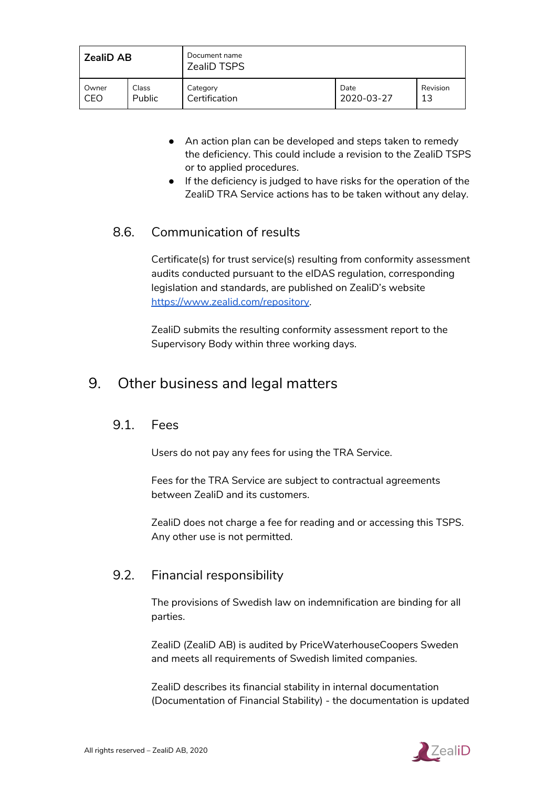| <b>ZealiD AB</b> |        | Document name<br><b>ZealiD TSPS</b> |            |          |
|------------------|--------|-------------------------------------|------------|----------|
| Owner            | Class  | Category                            | Date       | Revision |
| CEO              | Public | Certification                       | 2020-03-27 | 13       |

- An action plan can be developed and steps taken to remedy the deficiency. This could include a revision to the ZealiD TSPS or to applied procedures.
- If the deficiency is judged to have risks for the operation of the ZealiD TRA Service actions has to be taken without any delay.

## <span id="page-47-0"></span>8.6. Communication of results

Certificate(s) for trust service(s) resulting from conformity assessment audits conducted pursuant to the eIDAS regulation, corresponding legislation and standards, are published on ZealiD's website <https://www.zealid.com/repository>.

ZealiD submits the resulting conformity assessment report to the Supervisory Body within three working days.

## <span id="page-47-1"></span>9. Other business and legal matters

#### 9.1. Fees

Users do not pay any fees for using the TRA Service.

Fees for the TRA Service are subject to contractual agreements between ZealiD and its customers.

ZealiD does not charge a fee for reading and or accessing this TSPS. Any other use is not permitted.

## 9.2. Financial responsibility

The provisions of Swedish law on indemnification are binding for all parties.

ZealiD (ZealiD AB) is audited by PriceWaterhouseCoopers Sweden and meets all requirements of Swedish limited companies.

ZealiD describes its financial stability in internal documentation (Documentation of Financial Stability) - the documentation is updated

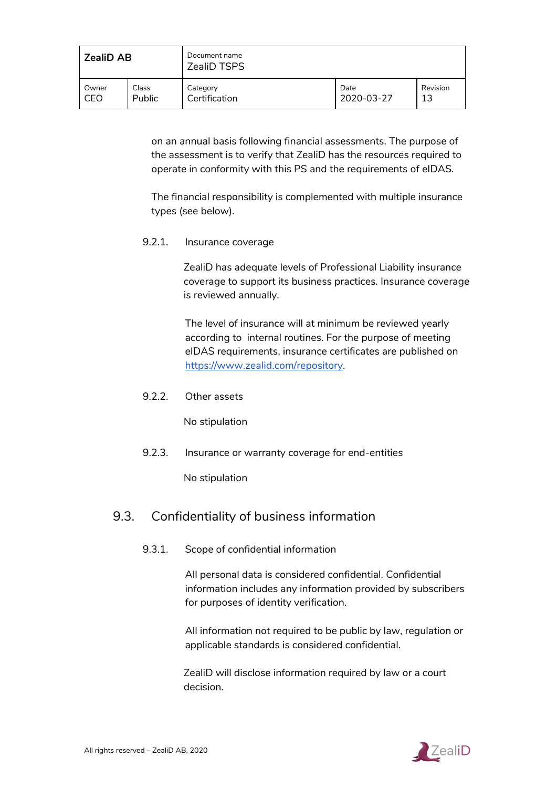| <b>ZealiD AB</b> |        | Document name<br><b>ZealiD TSPS</b> |            |          |
|------------------|--------|-------------------------------------|------------|----------|
| Owner            | Class  | Category                            | Date       | Revision |
| CEO              | Public | Certification                       | 2020-03-27 | 13       |

on an annual basis following financial assessments. The purpose of the assessment is to verify that ZealiD has the resources required to operate in conformity with this PS and the requirements of eIDAS.

The financial responsibility is complemented with multiple insurance types (see below).

<span id="page-48-0"></span>9.2.1. Insurance coverage

ZealiD has adequate levels of Professional Liability insurance coverage to support its business practices. Insurance coverage is reviewed annually.

The level of insurance will at minimum be reviewed yearly according to internal routines. For the purpose of meeting eIDAS requirements, insurance certificates are published on <https://www.zealid.com/repository>.

<span id="page-48-1"></span>9.2.2. Other assets

No stipulation

<span id="page-48-2"></span>9.2.3. Insurance or warranty coverage for end-entities

No stipulation

## <span id="page-48-3"></span>9.3. Confidentiality of business information

9.3.1. Scope of confidential information

All personal data is considered confidential. Confidential information includes any information provided by subscribers for purposes of identity verification.

All information not required to be public by law, regulation or applicable standards is considered confidential.

ZealiD will disclose information required by law or a court decision.

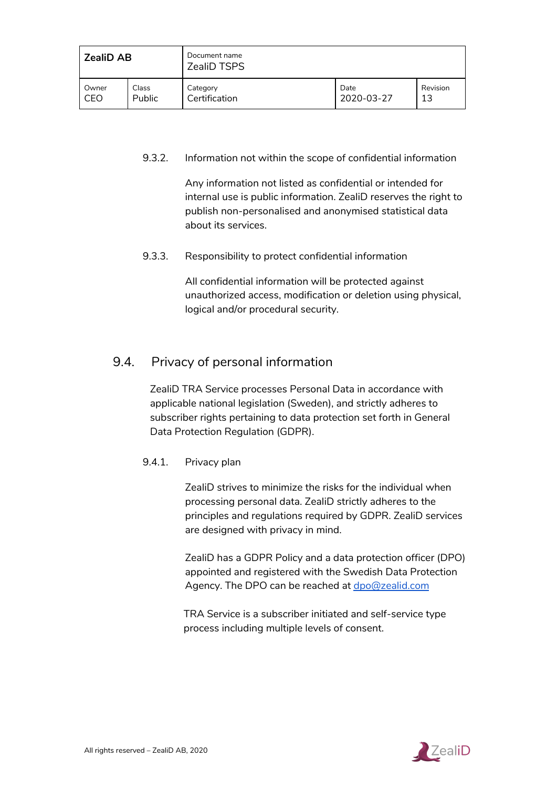| <b>ZealiD AB</b> |        | Document name<br><b>ZealiD TSPS</b> |            |          |
|------------------|--------|-------------------------------------|------------|----------|
| Owner            | Class  | Category                            | Date       | Revision |
| CEO              | Public | Certification                       | 2020-03-27 | 13       |

#### <span id="page-49-0"></span>9.3.2. Information not within the scope of confidential information

Any information not listed as confidential or intended for internal use is public information. ZealiD reserves the right to publish non-personalised and anonymised statistical data about its services.

#### <span id="page-49-1"></span>9.3.3. Responsibility to protect confidential information

All confidential information will be protected against unauthorized access, modification or deletion using physical, logical and/or procedural security.

## <span id="page-49-2"></span>9.4. Privacy of personal information

ZealiD TRA Service processes Personal Data in accordance with applicable national legislation (Sweden), and strictly adheres to subscriber rights pertaining to data protection set forth in General Data Protection Regulation (GDPR).

#### <span id="page-49-3"></span>9.4.1. Privacy plan

ZealiD strives to minimize the risks for the individual when processing personal data. ZealiD strictly adheres to the principles and regulations required by GDPR. ZealiD services are designed with privacy in mind.

ZealiD has a GDPR Policy and a data protection officer (DPO) appointed and registered with the Swedish Data Protection Agency. The DPO can be reached at [dpo@zealid.com](mailto:dpo@zealid.com)

TRA Service is a subscriber initiated and self-service type process including multiple levels of consent.

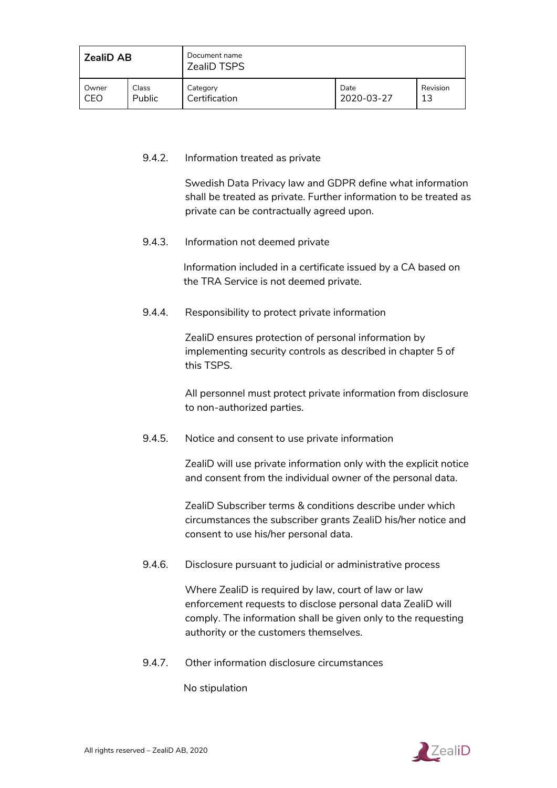| <b>ZealiD AB</b> |        | Document name<br><b>ZealiD TSPS</b> |            |          |
|------------------|--------|-------------------------------------|------------|----------|
| Owner            | Class  | Category                            | Date       | Revision |
| CEO              | Public | Certification                       | 2020-03-27 | 13       |

#### <span id="page-50-0"></span>9.4.2. Information treated as private

Swedish Data Privacy law and GDPR define what information shall be treated as private. Further information to be treated as private can be contractually agreed upon.

<span id="page-50-1"></span>9.4.3. Information not deemed private

Information included in a certificate issued by a CA based on the TRA Service is not deemed private.

<span id="page-50-2"></span>9.4.4. Responsibility to protect private information

ZealiD ensures protection of personal information by implementing security controls as described in chapter 5 of this TSPS.

All personnel must protect private information from disclosure to non-authorized parties.

<span id="page-50-3"></span>9.4.5. Notice and consent to use private information

ZealiD will use private information only with the explicit notice and consent from the individual owner of the personal data.

ZealiD Subscriber terms & conditions describe under which circumstances the subscriber grants ZealiD his/her notice and consent to use his/her personal data.

<span id="page-50-4"></span>9.4.6. Disclosure pursuant to judicial or administrative process

Where ZealiD is required by law, court of law or law enforcement requests to disclose personal data ZealiD will comply. The information shall be given only to the requesting authority or the customers themselves.

<span id="page-50-5"></span>9.4.7. Other information disclosure circumstances

No stipulation

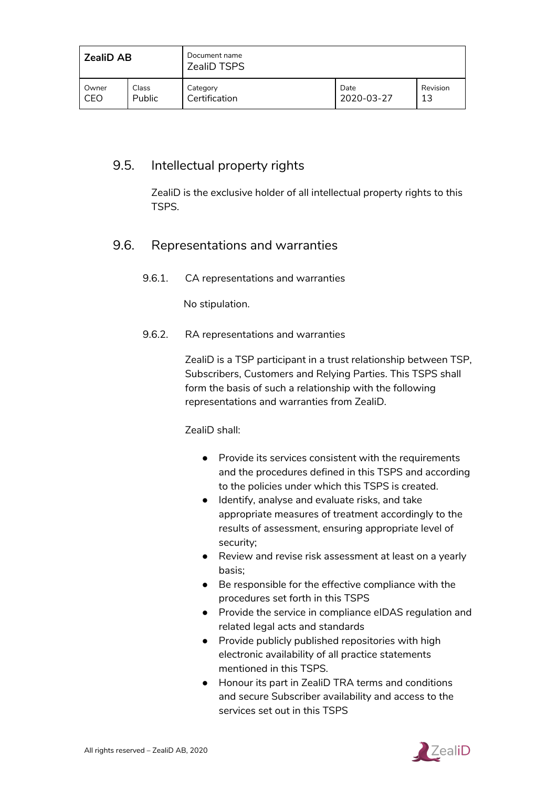| <b>ZealiD AB</b> |        | Document name<br><b>ZealiD TSPS</b> |            |          |
|------------------|--------|-------------------------------------|------------|----------|
| Owner            | Class  | Category                            | Date       | Revision |
| CEO              | Public | Certification                       | 2020-03-27 | 13       |

## <span id="page-51-0"></span>9.5. Intellectual property rights

ZealiD is the exclusive holder of all intellectual property rights to this TSPS.

## <span id="page-51-1"></span>9.6. Representations and warranties

9.6.1. CA representations and warranties

No stipulation.

#### <span id="page-51-2"></span>9.6.2. RA representations and warranties

ZealiD is a TSP participant in a trust relationship between TSP, Subscribers, Customers and Relying Parties. This TSPS shall form the basis of such a relationship with the following representations and warranties from ZealiD.

ZealiD shall:

- Provide its services consistent with the requirements and the procedures defined in this TSPS and according to the policies under which this TSPS is created.
- Identify, analyse and evaluate risks, and take appropriate measures of treatment accordingly to the results of assessment, ensuring appropriate level of security;
- Review and revise risk assessment at least on a yearly basis;
- Be responsible for the effective compliance with the procedures set forth in this TSPS
- Provide the service in compliance eIDAS regulation and related legal acts and standards
- Provide publicly published repositories with high electronic availability of all practice statements mentioned in this TSPS.
- Honour its part in ZealiD TRA terms and conditions and secure Subscriber availability and access to the services set out in this TSPS

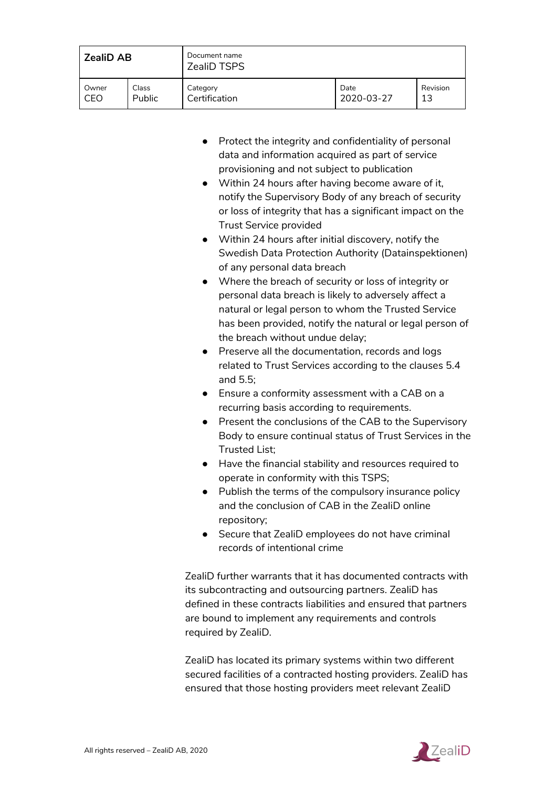| <b>ZealiD AB</b> |        | Document name<br><b>ZealiD TSPS</b> |            |          |
|------------------|--------|-------------------------------------|------------|----------|
| Owner            | Class  | Category<br>Certification           | Date       | Revision |
| CEO              | Public |                                     | 2020-03-27 | 13       |

- Protect the integrity and confidentiality of personal data and information acquired as part of service provisioning and not subject to publication
- Within 24 hours after having become aware of it, notify the Supervisory Body of any breach of security or loss of integrity that has a significant impact on the Trust Service provided
- Within 24 hours after initial discovery, notify the Swedish Data Protection Authority (Datainspektionen) of any personal data breach
- Where the breach of security or loss of integrity or personal data breach is likely to adversely affect a natural or legal person to whom the Trusted Service has been provided, notify the natural or legal person of the breach without undue delay;
- Preserve all the documentation, records and logs related to Trust Services according to the clauses 5.4 and 5.5;
- Ensure a conformity assessment with a CAB on a recurring basis according to requirements.
- Present the conclusions of the CAB to the Supervisory Body to ensure continual status of Trust Services in the Trusted List;
- Have the financial stability and resources required to operate in conformity with this TSPS;
- Publish the terms of the compulsory insurance policy and the conclusion of CAB in the ZealiD online repository;
- Secure that ZealiD employees do not have criminal records of intentional crime

ZealiD further warrants that it has documented contracts with its subcontracting and outsourcing partners. ZealiD has defined in these contracts liabilities and ensured that partners are bound to implement any requirements and controls required by ZealiD.

ZealiD has located its primary systems within two different secured facilities of a contracted hosting providers. ZealiD has ensured that those hosting providers meet relevant ZealiD

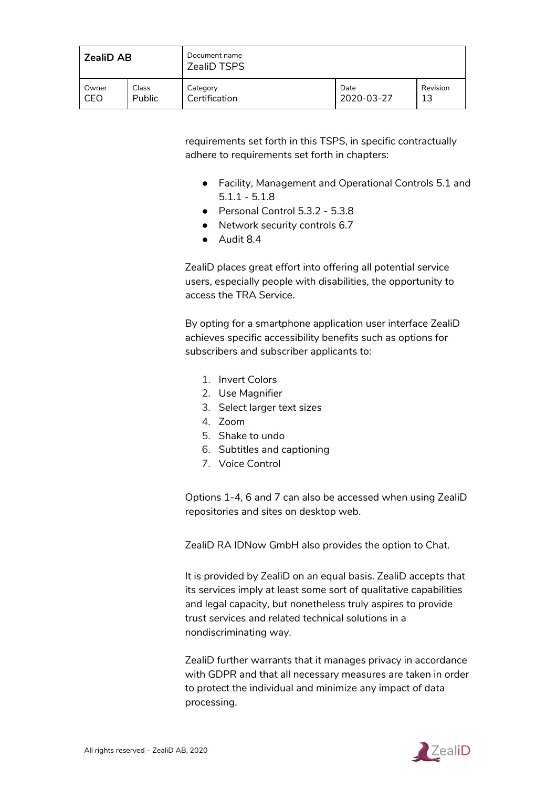| <b>ZealiD AB</b> |        | Document name<br><b>ZealiD TSPS</b> |            |          |
|------------------|--------|-------------------------------------|------------|----------|
| Owner            | Class  | Category                            | Date       | Revision |
| CEO              | Public | Certification                       | 2020-03-27 | 13       |

requirements set forth in this TSPS, in specific contractually adhere to requirements set forth in chapters:

- Facility, Management and Operational Controls 5.1 and 5.1.1 - 5.1.8
- Personal Control 5.3.2 5.3.8
- Network security controls 6.7
- Audit 8.4

ZealiD places great effort into offering all potential service users, especially people with disabilities, the opportunity to access the TRA Service.

By opting for a smartphone application user interface ZealiD achieves specific accessibility benefits such as options for subscribers and subscriber applicants to:

- 1. Invert Colors
- 2. Use Magnifier
- 3. Select larger text sizes
- 4. Zoom
- 5. Shake to undo
- 6. Subtitles and captioning
- 7. Voice Control

Options 1-4, 6 and 7 can also be accessed when using ZealiD repositories and sites on desktop web.

ZealiD RA IDNow GmbH also provides the option to Chat.

It is provided by ZealiD on an equal basis. ZealiD accepts that its services imply at least some sort of qualitative capabilities and legal capacity, but nonetheless truly aspires to provide trust services and related technical solutions in a nondiscriminating way.

ZealiD further warrants that it manages privacy in accordance with GDPR and that all necessary measures are taken in order to protect the individual and minimize any impact of data processing.

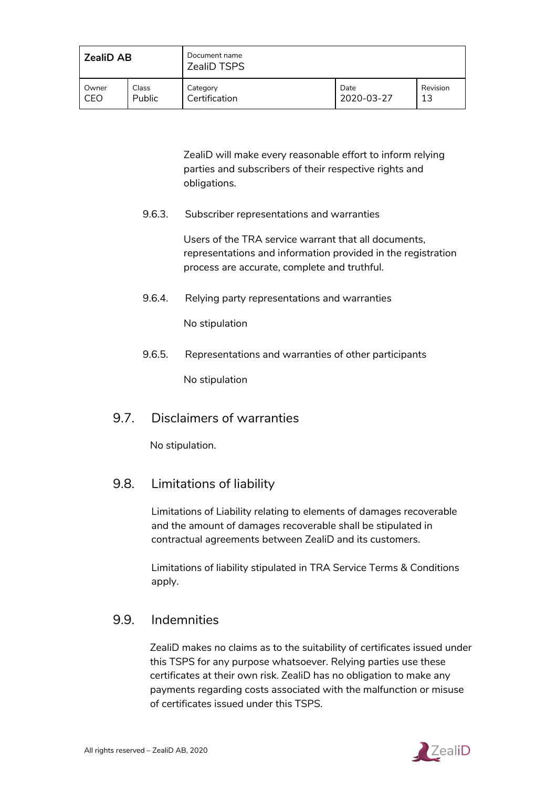| <b>ZealiD AB</b> |        | Document name<br><b>ZealiD TSPS</b> |            |          |
|------------------|--------|-------------------------------------|------------|----------|
| Owner            | Class  | Category                            | Date       | Revision |
| CEO              | Public | Certification                       | 2020-03-27 | 13       |

ZealiD will make every reasonable effort to inform relying parties and subscribers of their respective rights and obligations.

<span id="page-54-0"></span>9.6.3. Subscriber representations and warranties

Users of the TRA service warrant that all documents, representations and information provided in the registration process are accurate, complete and truthful.

<span id="page-54-1"></span>9.6.4. Relying party representations and warranties

No stipulation

<span id="page-54-2"></span>9.6.5. Representations and warranties of other participants

No stipulation

## <span id="page-54-3"></span>9.7. Disclaimers of warranties

No stipulation.

## <span id="page-54-4"></span>9.8. Limitations of liability

Limitations of Liability relating to elements of damages recoverable and the amount of damages recoverable shall be stipulated in contractual agreements between ZealiD and its customers.

Limitations of liability stipulated in TRA Service Terms & Conditions apply.

## <span id="page-54-5"></span>9.9. Indemnities

ZealiD makes no claims as to the suitability of certificates issued under this TSPS for any purpose whatsoever. Relying parties use these certificates at their own risk. ZealiD has no obligation to make any payments regarding costs associated with the malfunction or misuse of certificates issued under this TSPS.

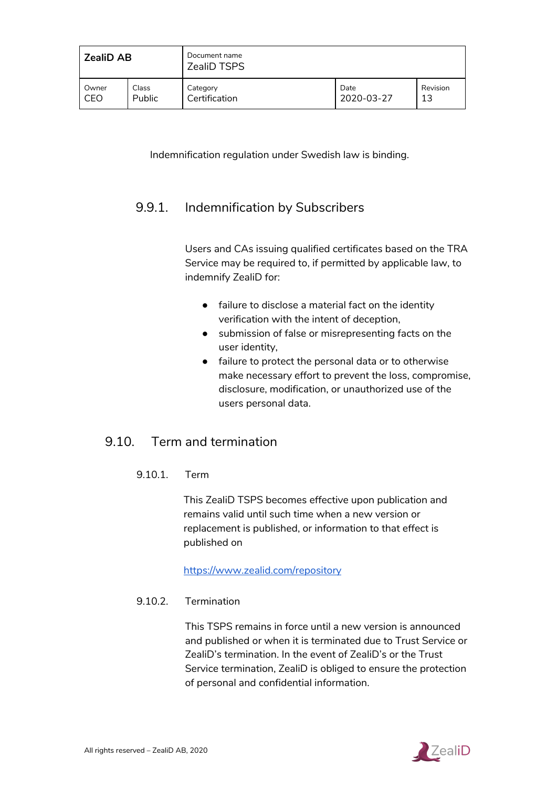| <b>ZealiD AB</b> |        | Document name<br><b>ZealiD TSPS</b> |            |          |
|------------------|--------|-------------------------------------|------------|----------|
| Owner            | Class  | Category                            | Date       | Revision |
| CEO              | Public | Certification                       | 2020-03-27 | 13       |

Indemnification regulation under Swedish law is binding.

## <span id="page-55-0"></span>9.9.1. Indemnification by Subscribers

Users and CAs issuing qualified certificates based on the TRA Service may be required to, if permitted by applicable law, to indemnify ZealiD for:

- failure to disclose a material fact on the identity verification with the intent of deception,
- submission of false or misrepresenting facts on the user identity,
- failure to protect the personal data or to otherwise make necessary effort to prevent the loss, compromise, disclosure, modification, or unauthorized use of the users personal data.

## <span id="page-55-1"></span>9.10. Term and termination

#### 9.10.1. Term

This ZealiD TSPS becomes effective upon publication and remains valid until such time when a new version or replacement is published, or information to that effect is published on

<https://www.zealid.com/repository>

#### <span id="page-55-2"></span>9.10.2. Termination

This TSPS remains in force until a new version is announced and published or when it is terminated due to Trust Service or ZealiD's termination. In the event of ZealiD's or the Trust Service termination, ZealiD is obliged to ensure the protection of personal and confidential information.

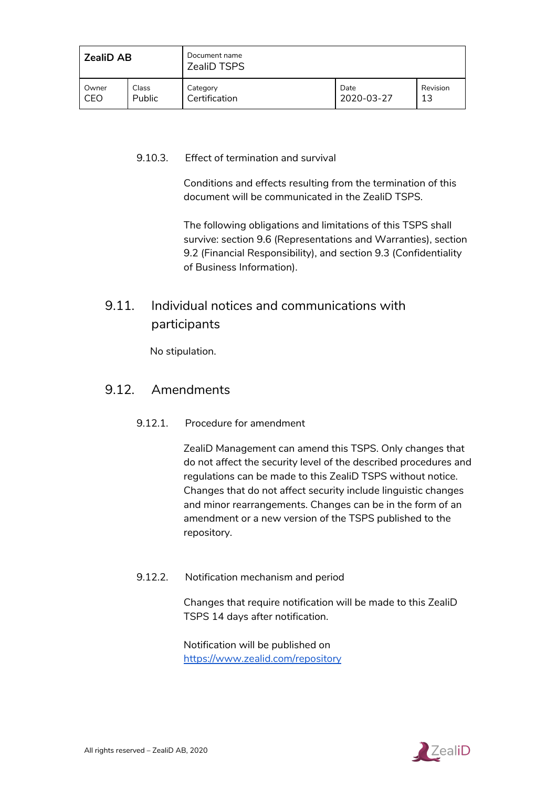| <b>ZealiD AB</b> |               | Document name<br><b>ZealiD TSPS</b> |            |          |
|------------------|---------------|-------------------------------------|------------|----------|
| Owner            | Class         | Category                            | Date       | Revision |
| CEO              | <b>Public</b> | Certification                       | 2020-03-27 | 13       |

#### <span id="page-56-0"></span>9.10.3. Effect of termination and survival

Conditions and effects resulting from the termination of this document will be communicated in the ZealiD TSPS.

The following obligations and limitations of this TSPS shall survive: section 9.6 (Representations and Warranties), section 9.2 (Financial Responsibility), and section 9.3 (Confidentiality of Business Information).

## <span id="page-56-1"></span>9.11. Individual notices and communications with participants

No stipulation.

#### <span id="page-56-2"></span>9.12. Amendments

#### 9.12.1. Procedure for amendment

ZealiD Management can amend this TSPS. Only changes that do not affect the security level of the described procedures and regulations can be made to this ZealiD TSPS without notice. Changes that do not affect security include linguistic changes and minor rearrangements. Changes can be in the form of an amendment or a new version of the TSPS published to the repository.

#### <span id="page-56-3"></span>9.12.2. Notification mechanism and period

Changes that require notification will be made to this ZealiD TSPS 14 days after notification.

Notification will be published on <https://www.zealid.com/repository>

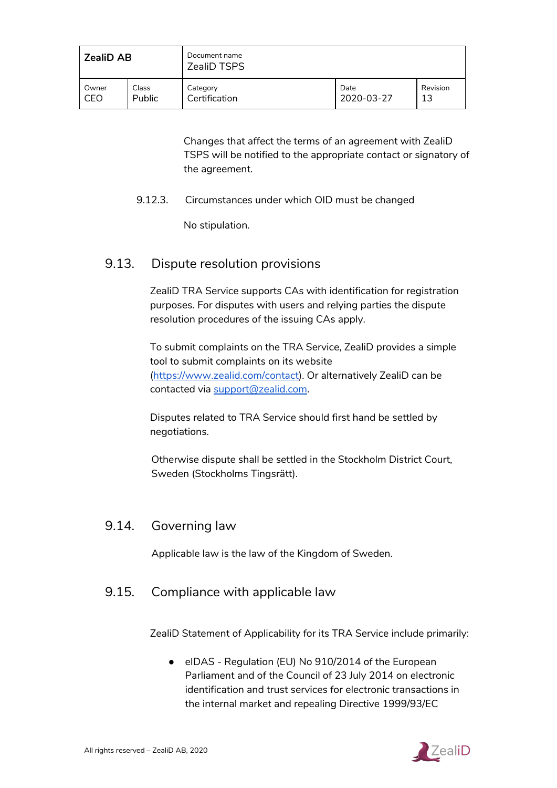| <b>ZealiD AB</b> |               | Document name<br><b>ZealiD TSPS</b> |            |          |
|------------------|---------------|-------------------------------------|------------|----------|
| Owner            | Class         | Category                            | Date       | Revision |
| CEO              | <b>Public</b> | Certification                       | 2020-03-27 | 13       |

Changes that affect the terms of an agreement with ZealiD TSPS will be notified to the appropriate contact or signatory of the agreement.

<span id="page-57-0"></span>9.12.3. Circumstances under which OID must be changed

No stipulation.

## <span id="page-57-1"></span>9.13. Dispute resolution provisions

ZealiD TRA Service supports CAs with identification for registration purposes. For disputes with users and relying parties the dispute resolution procedures of the issuing CAs apply.

To submit complaints on the TRA Service, ZealiD provides a simple tool to submit complaints on its website [\(https://www.zealid.com/contact\)](https://www.zealid.com/contact). Or alternatively ZealiD can be contacted via [support@zealid.com.](mailto:support@zealid.com)

Disputes related to TRA Service should first hand be settled by negotiations.

Otherwise dispute shall be settled in the Stockholm District Court, Sweden (Stockholms Tingsrätt).

## <span id="page-57-2"></span>9.14. Governing law

Applicable law is the law of the Kingdom of Sweden.

## <span id="page-57-3"></span>9.15. Compliance with applicable law

ZealiD Statement of Applicability for its TRA Service include primarily:

● eIDAS - Regulation (EU) No 910/2014 of the European Parliament and of the Council of 23 July 2014 on electronic identification and trust services for electronic transactions in the internal market and repealing Directive 1999/93/EC

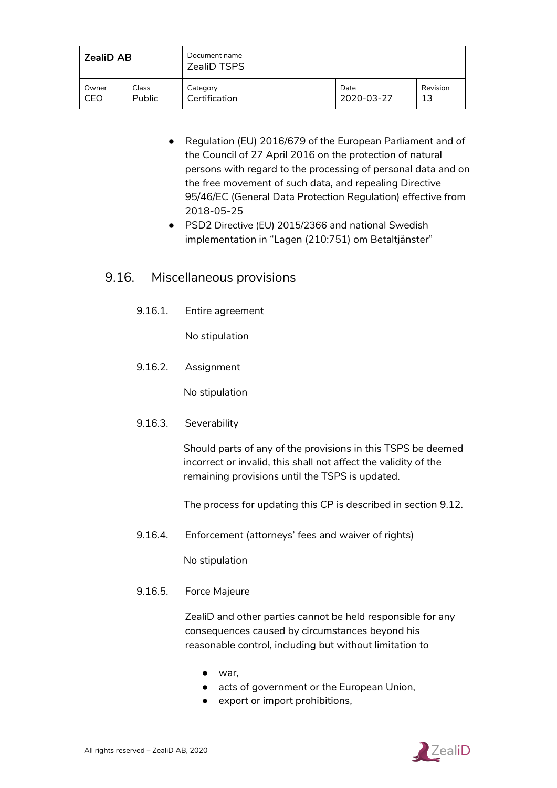| <b>ZealiD AB</b> |               | Document name<br><b>ZealiD TSPS</b> |            |          |
|------------------|---------------|-------------------------------------|------------|----------|
| Owner            | Class         | Category                            | Date       | Revision |
| CEO              | <b>Public</b> | Certification                       | 2020-03-27 | 13       |

- Regulation (EU) 2016/679 of the European Parliament and of the Council of 27 April 2016 on the protection of natural persons with regard to the processing of personal data and on the free movement of such data, and repealing Directive 95/46/EC (General Data Protection Regulation) effective from 2018-05-25
- PSD2 Directive (EU) 2015/2366 and national Swedish implementation in "Lagen (210:751) om Betaltjänster"

## <span id="page-58-1"></span><span id="page-58-0"></span>9.16. Miscellaneous provisions

9.16.1. Entire agreement

No stipulation

<span id="page-58-2"></span>9.16.2. Assignment

No stipulation

<span id="page-58-3"></span>9.16.3. Severability

Should parts of any of the provisions in this TSPS be deemed incorrect or invalid, this shall not affect the validity of the remaining provisions until the TSPS is updated.

The process for updating this CP is described in section 9.12.

<span id="page-58-4"></span>9.16.4. Enforcement (attorneys' fees and waiver of rights)

No stipulation

<span id="page-58-5"></span>9.16.5. Force Majeure

ZealiD and other parties cannot be held responsible for any consequences caused by circumstances beyond his reasonable control, including but without limitation to

- war,
- acts of government or the European Union,
- export or import prohibitions,